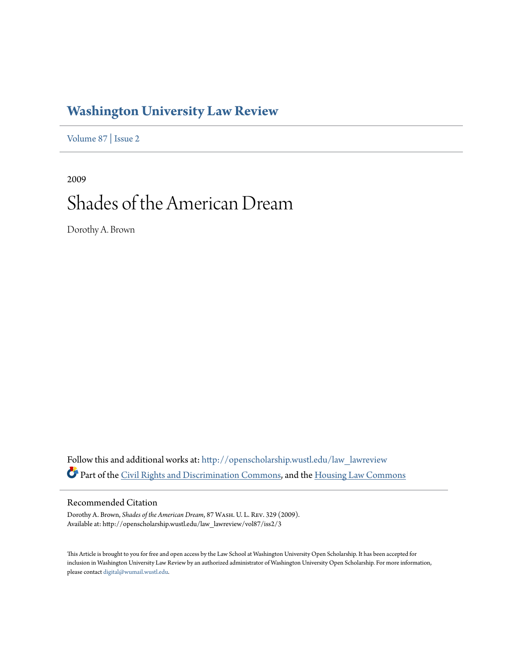# **[Washington University Law Review](http://openscholarship.wustl.edu/law_lawreview?utm_source=openscholarship.wustl.edu%2Flaw_lawreview%2Fvol87%2Fiss2%2F3&utm_medium=PDF&utm_campaign=PDFCoverPages)**

[Volume 87](http://openscholarship.wustl.edu/law_lawreview/vol87?utm_source=openscholarship.wustl.edu%2Flaw_lawreview%2Fvol87%2Fiss2%2F3&utm_medium=PDF&utm_campaign=PDFCoverPages) | [Issue 2](http://openscholarship.wustl.edu/law_lawreview/vol87/iss2?utm_source=openscholarship.wustl.edu%2Flaw_lawreview%2Fvol87%2Fiss2%2F3&utm_medium=PDF&utm_campaign=PDFCoverPages)

2009 Shades of the American Dream

Dorothy A. Brown

Follow this and additional works at: [http://openscholarship.wustl.edu/law\\_lawreview](http://openscholarship.wustl.edu/law_lawreview?utm_source=openscholarship.wustl.edu%2Flaw_lawreview%2Fvol87%2Fiss2%2F3&utm_medium=PDF&utm_campaign=PDFCoverPages) Part of the [Civil Rights and Discrimination Commons,](http://network.bepress.com/hgg/discipline/585?utm_source=openscholarship.wustl.edu%2Flaw_lawreview%2Fvol87%2Fiss2%2F3&utm_medium=PDF&utm_campaign=PDFCoverPages) and the [Housing Law Commons](http://network.bepress.com/hgg/discipline/846?utm_source=openscholarship.wustl.edu%2Flaw_lawreview%2Fvol87%2Fiss2%2F3&utm_medium=PDF&utm_campaign=PDFCoverPages)

# Recommended Citation

Dorothy A. Brown, *Shades of the American Dream*, 87 Wash. U. L. Rev. 329 (2009). Available at: http://openscholarship.wustl.edu/law\_lawreview/vol87/iss2/3

This Article is brought to you for free and open access by the Law School at Washington University Open Scholarship. It has been accepted for inclusion in Washington University Law Review by an authorized administrator of Washington University Open Scholarship. For more information, please contact [digital@wumail.wustl.edu.](mailto:digital@wumail.wustl.edu)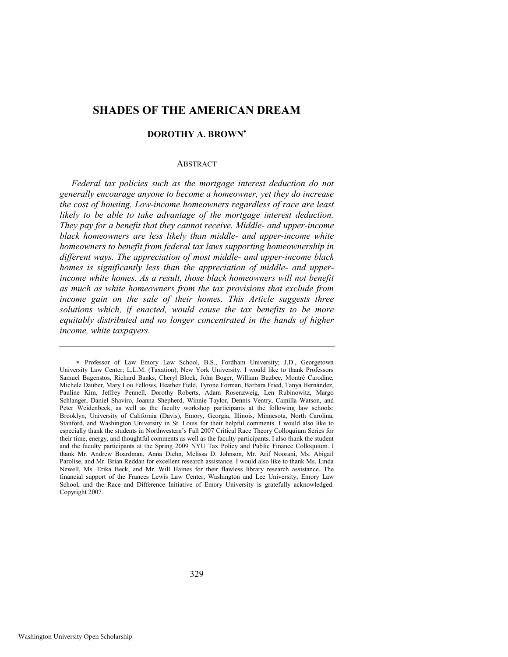# **SHADES OF THE AMERICAN DREAM**

# **DOROTHY A. BROWN**

#### ABSTRACT

*Federal tax policies such as the mortgage interest deduction do not generally encourage anyone to become a homeowner, yet they do increase the cost of housing. Low-income homeowners regardless of race are least likely to be able to take advantage of the mortgage interest deduction. They pay for a benefit that they cannot receive. Middle- and upper-income black homeowners are less likely than middle- and upper-income white homeowners to benefit from federal tax laws supporting homeownership in different ways. The appreciation of most middle- and upper-income black homes is significantly less than the appreciation of middle- and upperincome white homes. As a result, those black homeowners will not benefit as much as white homeowners from the tax provisions that exclude from*  income gain on the sale of their homes. This Article suggests three *solutions which, if enacted, would cause the tax benefits to be more equitably distributed and no longer concentrated in the hands of higher income, white taxpayers.* 

Professor of Law Emory Law School, B.S., Fordham University; J.D., Georgetown University Law Center; L.L.M. (Taxation), New York University. I would like to thank Professors Samuel Bagenstos, Richard Banks, Cheryl Block, John Boger, William Buzbee, Montré Carodine, Michele Dauber, Mary Lou Fellows, Heather Field, Tyrone Forman, Barbara Fried, Tanya Hernández, Pauline Kim, Jeffrey Pennell, Dorothy Roberts, Adam Rosenzweig, Len Rubinowitz, Margo Schlanger, Daniel Shaviro, Joanna Shepherd, Winnie Taylor, Dennis Ventry, Camilla Watson, and Peter Weidenbeck, as well as the faculty workshop participants at the following law schools: Brooklyn, University of California (Davis), Emory, Georgia, Illinois, Minnesota, North Carolina, Stanford, and Washington University in St. Louis for their helpful comments. I would also like to especially thank the students in Northwestern's Fall 2007 Critical Race Theory Colloquium Series for their time, energy, and thoughtful comments as well as the faculty participants. I also thank the student and the faculty participants at the Spring 2009 NYU Tax Policy and Public Finance Colloquium. I thank Mr. Andrew Boardman, Anna Diehn, Melissa D. Johnson, Mr. Arif Noorani, Ms. Abigail Parolise, and Mr. Brian Reddan for excellent research assistance. I would also like to thank Ms. Linda Newell, Ms. Erika Beck, and Mr. Will Haines for their flawless library research assistance. The financial support of the Frances Lewis Law Center, Washington and Lee University, Emory Law School, and the Race and Difference Initiative of Emory University is gratefully acknowledged. Copyright 2007.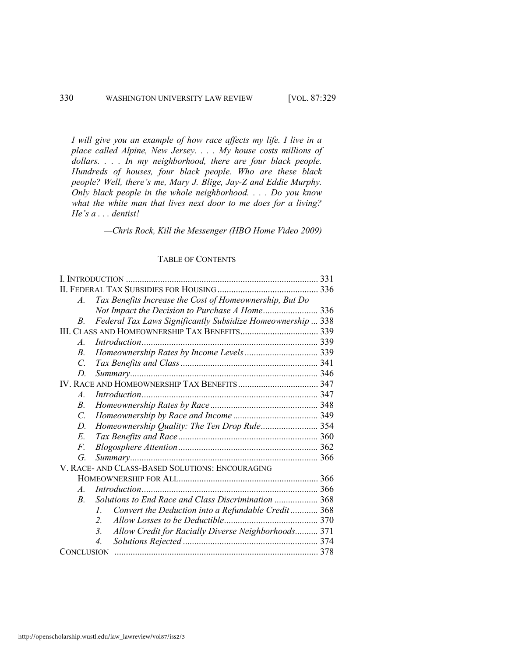*I will give you an example of how race affects my life. I live in a place called Alpine, New Jersey. . . . My house costs millions of dollars. . . . In my neighborhood, there are four black people. Hundreds of houses, four black people. Who are these black people? Well, there's me, Mary J. Blige, Jay-Z and Eddie Murphy. Only black people in the whole neighborhood. . . . Do you know what the white man that lives next door to me does for a living? He's a . . . dentist!* 

*—Chris Rock, Kill the Messenger (HBO Home Video 2009)* 

# TABLE OF CONTENTS

| $\mathcal{A}_{\cdot}$ | Tax Benefits Increase the Cost of Homeownership, But Do     |  |  |  |
|-----------------------|-------------------------------------------------------------|--|--|--|
|                       | 336                                                         |  |  |  |
| B.                    | Federal Tax Laws Significantly Subsidize Homeownership  338 |  |  |  |
| 339                   |                                                             |  |  |  |
| $\mathcal{A}_{\cdot}$ |                                                             |  |  |  |
| $B_{\cdot}$           |                                                             |  |  |  |
| $\mathcal{C}$         |                                                             |  |  |  |
| D.                    |                                                             |  |  |  |
|                       |                                                             |  |  |  |
| $\mathcal{A}$ .       |                                                             |  |  |  |
| $B_{\cdot}$           |                                                             |  |  |  |
| $\mathcal{C}$         |                                                             |  |  |  |
| D.                    | Homeownership Quality: The Ten Drop Rule 354                |  |  |  |
| E.                    |                                                             |  |  |  |
| F.                    |                                                             |  |  |  |
| G.                    |                                                             |  |  |  |
|                       | V. RACE- AND CLASS-BASED SOLUTIONS: ENCOURAGING             |  |  |  |
|                       |                                                             |  |  |  |
| $\mathcal{A}_{\cdot}$ |                                                             |  |  |  |
| $B_{\cdot}$           | Solutions to End Race and Class Discrimination  368         |  |  |  |
| $\mathcal{L}$         | Convert the Deduction into a Refundable Credit 368          |  |  |  |
| $\overline{2}$        |                                                             |  |  |  |
| 3 <sub>1</sub>        | Allow Credit for Racially Diverse Neighborhoods 371         |  |  |  |
| 4.                    |                                                             |  |  |  |
|                       |                                                             |  |  |  |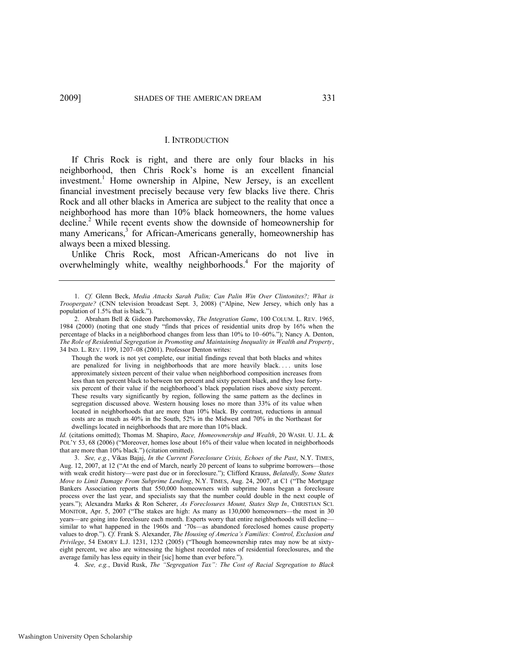#### <span id="page-3-0"></span>I. INTRODUCTION

If Chris Rock is right, and there are only four blacks in his neighborhood, then Chris Rock's home is an excellent financial investment.<sup>1</sup> Home ownership in Alpine, New Jersey, is an excellent financial investment precisely because very few blacks live there. Chris Rock and all other blacks in America are subject to the reality that once a neighborhood has more than 10% black homeowners, the home values decline.<sup>2</sup> While recent events show the downside of homeownership for many Americans,<sup>3</sup> for African-Americans generally, homeownership has always been a mixed blessing.

<span id="page-3-1"></span>Unlike Chris Rock, most African-Americans do not live in overwhelmingly white, wealthy neighborhoods.<sup>4</sup> For the majority of

*Id.* (citations omitted); Thomas M. Shapiro, *Race, Homeownership and Wealth*, 20 WASH. U. J.L. & POL'Y 53, 68 (2006) ("Moreover, homes lose about 16% of their value when located in neighborhoods that are more than 10% black.") (citation omitted).

4. See, e.g., David Rusk, The "Segregation Tax": The Cost of Racial Segregation to Black

<sup>1.</sup> *Cf.* Glenn Beck, *Media Attacks Sarah Palin; Can Palin Win Over Clintonites?; What is Troopergate?* (CNN television broadcast Sept. 3, 2008) ("Alpine, New Jersey, which only has a population of 1.5% that is black.").

<sup>2.</sup> Abraham Bell & Gideon Parchomovsky, *The Integration Game*, 100 COLUM. L. REV. 1965, 1984 (2000) (noting that one study "finds that prices of residential units drop by 16% when the percentage of blacks in a neighborhood changes from less than 10% to 10–60%."); Nancy A. Denton, *The Role of Residential Segregation in Promoting and Maintaining Inequality in Wealth and Property*, 34 IND. L. REV. 1199, 1207–08 (2001). Professor Denton writes:

Though the work is not yet complete, our initial findings reveal that both blacks and whites are penalized for living in neighborhoods that are more heavily black.... units lose approximately sixteen percent of their value when neighborhood composition increases from less than ten percent black to between ten percent and sixty percent black, and they lose fortysix percent of their value if the neighborhood's black population rises above sixty percent. These results vary significantly by region, following the same pattern as the declines in segregation discussed above. Western housing loses no more than 33% of its value when located in neighborhoods that are more than 10% black. By contrast, reductions in annual costs are as much as 40% in the South, 52% in the Midwest and 70% in the Northeast for dwellings located in neighborhoods that are more than 10% black.

<sup>3.</sup> *See, e.g.*, Vikas Bajaj, *In the Current Foreclosure Crisis, Echoes of the Past*, N.Y. TIMES, Aug. 12, 2007, at 12 ("At the end of March, nearly 20 percent of loans to subprime borrowers—those with weak credit history—were past due or in foreclosure."); Clifford Krauss, *Belatedly, Some States Move to Limit Damage From Subprime Lending*, N.Y. TIMES, Aug. 24, 2007, at C1 ("The Mortgage Bankers Association reports that 550,000 homeowners with subprime loans began a foreclosure process over the last year, and specialists say that the number could double in the next couple of years.‖); Alexandra Marks & Ron Scherer, *As Foreclosures Mount, States Step In*, CHRISTIAN SCI. MONITOR, Apr. 5, 2007 ("The stakes are high: As many as 130,000 homeowners—the most in 30 years—are going into foreclosure each month. Experts worry that entire neighborhoods will decline similar to what happened in the 1960s and '70s—as abandoned foreclosed homes cause property values to drop.‖). *Cf.* Frank S. Alexander, *The Housing of America's Families: Control, Exclusion and Privilege*, 54 EMORY L.J. 1231, 1232 (2005) ("Though homeownership rates may now be at sixtyeight percent, we also are witnessing the highest recorded rates of residential foreclosures, and the average family has less equity in their [sic] home than ever before.").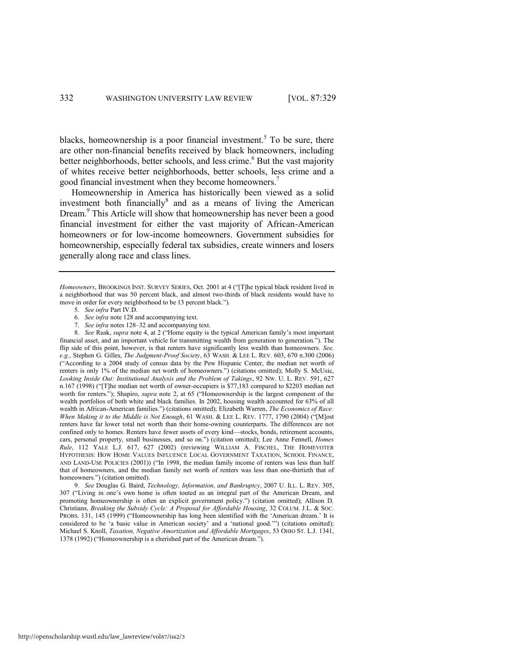blacks, homeownership is a poor financial investment.<sup>5</sup> To be sure, there are other non-financial benefits received by black homeowners, including better neighborhoods, better schools, and less crime.<sup>6</sup> But the vast majority of whites receive better neighborhoods, better schools, less crime and a good financial investment when they become homeowners.<sup>7</sup>

Homeownership in America has historically been viewed as a solid investment both financially $\delta$  and as a means of living the American Dream.<sup>9</sup> This Article will show that homeownership has never been a good financial investment for either the vast majority of African-American homeowners or for low-income homeowners. Government subsidies for homeownership, especially federal tax subsidies, create winners and losers generally along race and class lines.

8. *See* Rusk, *supra* note [4,](#page-3-0) at 2 ("Home equity is the typical American family's most important financial asset, and an important vehicle for transmitting wealth from generation to generation."). The flip side of this point, however, is that renters have significantly less wealth than homeowners. *See, e.g.*, Stephen G. Gilles, *The Judgment-Proof Society*, 63 WASH. & LEE L. REV. 603, 670 n.300 (2006) (―According to a 2004 study of census data by the Pew Hispanic Center, the median net worth of renters is only 1% of the median net worth of homeowners.") (citations omitted); Molly S. McUsic, *Looking Inside Out: Institutional Analysis and the Problem of Takings*, 92 NW. U. L. REV. 591, 627 n.167 (1998) ("[T]he median net worth of owner-occupiers is \$77,183 compared to \$2203 median net worth for renters."); Shapiro, *supra* note [2,](#page-3-1) at 65 ("Homeownership is the largest component of the wealth portfolios of both white and black families. In 2002, housing wealth accounted for 63% of all wealth in African-American families.") (citations omitted); Elizabeth Warren, *The Economics of Race: When Making it to the Middle is Not Enough*, 61 WASH. & LEE L. REV. 1777, 1790 (2004) ("Most renters have far lower total net worth than their home-owning counterparts. The differences are not confined only to homes. Renters have fewer assets of every kind—stocks, bonds, retirement accounts, cars, personal property, small businesses, and so on.") (citation omitted); Lee Anne Fennell, *Homes Rule*, 112 YALE L.J. 617, 627 (2002) (reviewing WILLIAM A. FISCHEL, THE HOMEVOTER HYPOTHESIS: HOW HOME VALUES INFLUENCE LOCAL GOVERNMENT TAXATION, SCHOOL FINANCE, AND LAND-USE POLICIES (2001)) ("In 1998, the median family income of renters was less than half that of homeowners, and the median family net worth of renters was less than one-thirtieth that of homeowners.") (citation omitted).

9. *See* Douglas G. Baird, *Technology, Information, and Bankruptcy*, 2007 U. ILL. L. REV. 305, 307 ("Living in one's own home is often touted as an integral part of the American Dream, and promoting homeownership is often an explicit government policy.") (citation omitted); Allison D. Christians, *Breaking the Subsidy Cycle: A Proposal for Affordable Housing*, 32 COLUM. J.L. & SOC. PROBS. 131, 145 (1999) ("Homeownership has long been identified with the 'American dream.' It is considered to be 'a basic value in American society' and a 'national good.'") (citations omitted); Michael S. Knoll, *Taxation, Negative Amortization and Affordable Mortgages*, 53 OHIO ST. L.J. 1341, 1378 (1992) ("Homeownership is a cherished part of the American dream.").

*Homeowners*, BROOKINGS INST. SURVEY SERIES, Oct. 2001 at 4 ("[T]he typical black resident lived in a neighborhood that was 50 percent black, and almost two-thirds of black residents would have to move in order for every neighborhood to be 13 percent black.").

<sup>5.</sup> *See infra* Part IV.D.

<sup>6.</sup> *See infra* not[e 128 a](#page-31-0)nd accompanying text.

<sup>7.</sup> *See infra* notes [128](#page-31-0)–32 and accompanying text.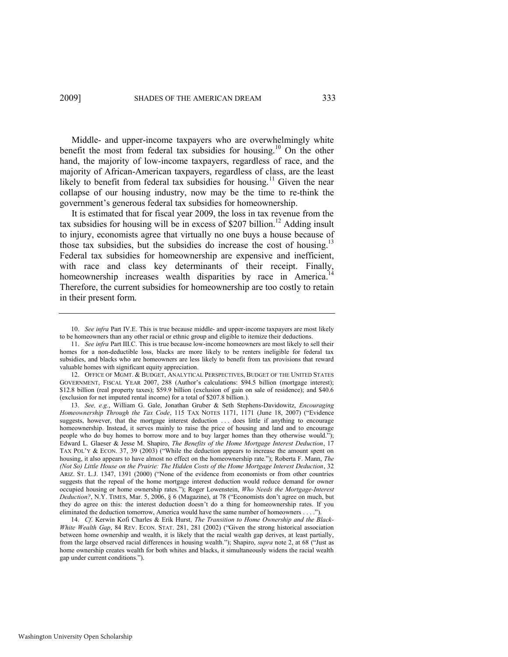Middle- and upper-income taxpayers who are overwhelmingly white benefit the most from federal tax subsidies for housing.<sup>10</sup> On the other hand, the majority of low-income taxpayers, regardless of race, and the majority of African-American taxpayers, regardless of class, are the least likely to benefit from federal tax subsidies for housing.<sup>11</sup> Given the near collapse of our housing industry, now may be the time to re-think the government's generous federal tax subsidies for homeownership.

<span id="page-5-0"></span>It is estimated that for fiscal year 2009, the loss in tax revenue from the tax subsidies for housing will be in excess of  $$207$  billion.<sup>12</sup> Adding insult to injury, economists agree that virtually no one buys a house because of those tax subsidies, but the subsidies do increase the cost of housing.<sup>13</sup> Federal tax subsidies for homeownership are expensive and inefficient, with race and class key determinants of their receipt. Finally, homeownership increases wealth disparities by race in America.<sup>1</sup> Therefore, the current subsidies for homeownership are too costly to retain in their present form.

<span id="page-5-1"></span><sup>10.</sup> *See infra* Part IV.E. This is true because middle- and upper-income taxpayers are most likely to be homeowners than any other racial or ethnic group and eligible to itemize their deductions.

<sup>11.</sup> *See infra* Part III.C. This is true because low-income homeowners are most likely to sell their homes for a non-deductible loss, blacks are more likely to be renters ineligible for federal tax subsidies, and blacks who are homeowners are less likely to benefit from tax provisions that reward valuable homes with significant equity appreciation.

<sup>12.</sup> OFFICE OF MGMT. & BUDGET, ANALYTICAL PERSPECTIVES, BUDGET OF THE UNITED STATES GOVERNMENT, FISCAL YEAR 2007, 288 (Author's calculations: \$94.5 billion (mortgage interest); \$12.8 billion (real property taxes); \$59.9 billion (exclusion of gain on sale of residence); and \$40.6 (exclusion for net imputed rental income) for a total of \$207.8 billion.).

<sup>13.</sup> *See, e.g.*, William G. Gale, Jonathan Gruber & Seth Stephens-Davidowitz, *Encouraging Homeownership Through the Tax Code*, 115 TAX NOTES 1171, 1171 (June 18, 2007) ("Evidence suggests, however, that the mortgage interest deduction ... does little if anything to encourage homeownership. Instead, it serves mainly to raise the price of housing and land and to encourage people who do buy homes to borrow more and to buy larger homes than they otherwise would."); Edward L. Glaeser & Jesse M. Shapiro, *The Benefits of the Home Mortgage Interest Deduction*, 17 TAX POL'Y & ECON. 37, 39 (2003) ("While the deduction appears to increase the amount spent on housing, it also appears to have almost no effect on the homeownership rate."); Roberta F. Mann, *The (Not So) Little House on the Prairie: The Hidden Costs of the Home Mortgage Interest Deduction*, 32 ARIZ. ST. L.J. 1347, 1391 (2000) ("None of the evidence from economists or from other countries suggests that the repeal of the home mortgage interest deduction would reduce demand for owner occupied housing or home ownership rates.‖); Roger Lowenstein, *Who Needs the Mortgage-Interest Deduction?*, N.Y. TIMES, Mar. 5, 2006, § 6 (Magazine), at 78 ("Economists don't agree on much, but they do agree on this: the interest deduction doesn't do a thing for homeownership rates. If you eliminated the deduction tomorrow, America would have the same number of homeowners . . . .

<sup>14.</sup> *Cf*. Kerwin Kofi Charles & Erik Hurst, *The Transition to Home Ownership and the Black-White Wealth Gap*, 84 REV. ECON. STAT. 281, 281 (2002) ("Given the strong historical association between home ownership and wealth, it is likely that the racial wealth gap derives, at least partially, from the large observed racial differences in housing wealth."); Shapiro, *supra* not[e 2,](#page-3-1) at 68 ("Just as home ownership creates wealth for both whites and blacks, it simultaneously widens the racial wealth gap under current conditions.").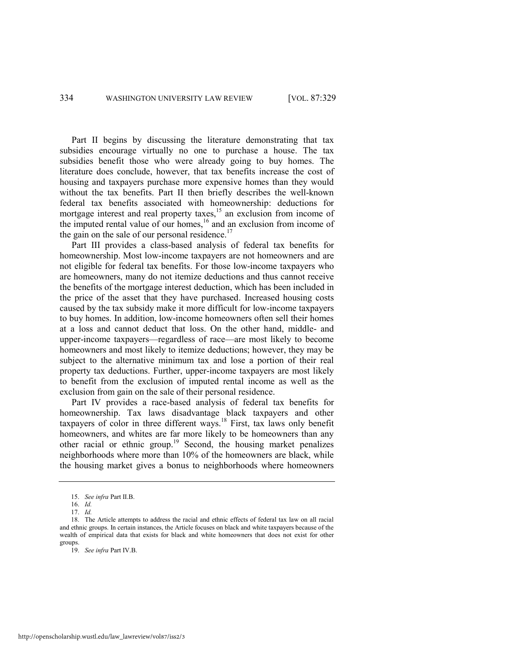Part II begins by discussing the literature demonstrating that tax subsidies encourage virtually no one to purchase a house. The tax subsidies benefit those who were already going to buy homes. The literature does conclude, however, that tax benefits increase the cost of housing and taxpayers purchase more expensive homes than they would without the tax benefits. Part II then briefly describes the well-known federal tax benefits associated with homeownership: deductions for mortgage interest and real property taxes,<sup>15</sup> an exclusion from income of the imputed rental value of our homes,<sup>16</sup> and an exclusion from income of the gain on the sale of our personal residence.<sup>17</sup>

Part III provides a class-based analysis of federal tax benefits for homeownership. Most low-income taxpayers are not homeowners and are not eligible for federal tax benefits. For those low-income taxpayers who are homeowners, many do not itemize deductions and thus cannot receive the benefits of the mortgage interest deduction, which has been included in the price of the asset that they have purchased. Increased housing costs caused by the tax subsidy make it more difficult for low-income taxpayers to buy homes. In addition, low-income homeowners often sell their homes at a loss and cannot deduct that loss. On the other hand, middle- and upper-income taxpayers—regardless of race—are most likely to become homeowners and most likely to itemize deductions; however, they may be subject to the alternative minimum tax and lose a portion of their real property tax deductions. Further, upper-income taxpayers are most likely to benefit from the exclusion of imputed rental income as well as the exclusion from gain on the sale of their personal residence.

Part IV provides a race-based analysis of federal tax benefits for homeownership. Tax laws disadvantage black taxpayers and other taxpayers of color in three different ways.<sup>18</sup> First, tax laws only benefit homeowners, and whites are far more likely to be homeowners than any other racial or ethnic group.<sup>19</sup> Second, the housing market penalizes neighborhoods where more than 10% of the homeowners are black, while the housing market gives a bonus to neighborhoods where homeowners

<sup>15.</sup> *See infra* Part II.B.

<sup>16.</sup> *Id.*

<sup>17.</sup> *Id.*

<sup>18.</sup> The Article attempts to address the racial and ethnic effects of federal tax law on all racial and ethnic groups. In certain instances, the Article focuses on black and white taxpayers because of the wealth of empirical data that exists for black and white homeowners that does not exist for other groups.

<sup>19.</sup> *See infra* Part IV.B.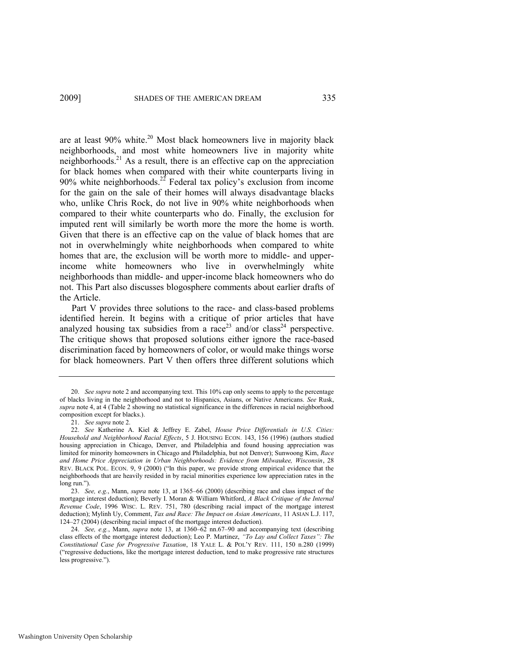# 2009] SHADES OF THE AMERICAN DREAM 335

are at least 90% white.<sup>20</sup> Most black homeowners live in majority black neighborhoods, and most white homeowners live in majority white neighborhoods.<sup>21</sup> As a result, there is an effective cap on the appreciation for black homes when compared with their white counterparts living in 90% white neighborhoods.<sup>22</sup> Federal tax policy's exclusion from income for the gain on the sale of their homes will always disadvantage blacks who, unlike Chris Rock, do not live in 90% white neighborhoods when compared to their white counterparts who do. Finally, the exclusion for imputed rent will similarly be worth more the more the home is worth. Given that there is an effective cap on the value of black homes that are not in overwhelmingly white neighborhoods when compared to white homes that are, the exclusion will be worth more to middle- and upperincome white homeowners who live in overwhelmingly white neighborhoods than middle- and upper-income black homeowners who do not. This Part also discusses blogosphere comments about earlier drafts of the Article.

<span id="page-7-0"></span>Part V provides three solutions to the race- and class-based problems identified herein. It begins with a critique of prior articles that have analyzed housing tax subsidies from a race<sup>23</sup> and/or class<sup>24</sup> perspective. The critique shows that proposed solutions either ignore the race-based discrimination faced by homeowners of color, or would make things worse for black homeowners. Part V then offers three different solutions which

21. *See supra* not[e 2.](#page-3-1) 

<sup>20.</sup> *See supra* not[e 2 a](#page-3-1)nd accompanying text. This 10% cap only seems to apply to the percentage of blacks living in the neighborhood and not to Hispanics, Asians, or Native Americans. *See* Rusk, *supra* not[e 4,](#page-3-0) at 4 (Table 2 showing no statistical significance in the differences in racial neighborhood composition except for blacks.).

<sup>22.</sup> *See* Katherine A. Kiel & Jeffrey E. Zabel, *House Price Differentials in U.S. Cities: Household and Neighborhood Racial Effects*, 5 J. HOUSING ECON. 143, 156 (1996) (authors studied housing appreciation in Chicago, Denver, and Philadelphia and found housing appreciation was limited for minority homeowners in Chicago and Philadelphia, but not Denver); Sunwoong Kim, *Race and Home Price Appreciation in Urban Neighborhoods: Evidence from Milwaukee, Wisconsin*, 28 REV. BLACK POL. ECON. 9, 9 (2000) ("In this paper, we provide strong empirical evidence that the neighborhoods that are heavily resided in by racial minorities experience low appreciation rates in the long run.").

<sup>23.</sup> *See, e.g.*, Mann, *supra* note [13,](#page-5-0) at 1365–66 (2000) (describing race and class impact of the mortgage interest deduction); Beverly I. Moran & William Whitford, *A Black Critique of the Internal Revenue Code*, 1996 WISC. L. REV. 751, 780 (describing racial impact of the mortgage interest deduction); Mylinh Uy, Comment, *Tax and Race: The Impact on Asian Americans*, 11 ASIAN L.J. 117, 124–27 (2004) (describing racial impact of the mortgage interest deduction).

<sup>24.</sup> *See, e.g.*, Mann, *supra* note [13,](#page-5-0) at 1360–62 nn.67–90 and accompanying text (describing class effects of the mortgage interest deduction); Leo P. Martinez, "To Lay and Collect Taxes": The *Constitutional Case for Progressive Taxation*, 18 YALE L. & POL'Y REV. 111, 150 n.280 (1999) (―regressive deductions, like the mortgage interest deduction, tend to make progressive rate structures less progressive.").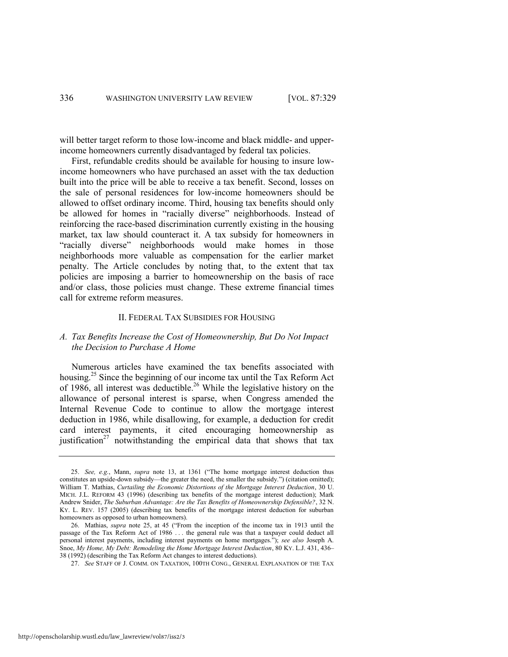will better target reform to those low-income and black middle- and upperincome homeowners currently disadvantaged by federal tax policies.

First, refundable credits should be available for housing to insure lowincome homeowners who have purchased an asset with the tax deduction built into the price will be able to receive a tax benefit. Second, losses on the sale of personal residences for low-income homeowners should be allowed to offset ordinary income. Third, housing tax benefits should only be allowed for homes in "racially diverse" neighborhoods. Instead of reinforcing the race-based discrimination currently existing in the housing market, tax law should counteract it. A tax subsidy for homeowners in "racially diverse" neighborhoods would make homes in those neighborhoods more valuable as compensation for the earlier market penalty. The Article concludes by noting that, to the extent that tax policies are imposing a barrier to homeownership on the basis of race and/or class, those policies must change. These extreme financial times call for extreme reform measures.

#### II. FEDERAL TAX SUBSIDIES FOR HOUSING

# *A. Tax Benefits Increase the Cost of Homeownership, But Do Not Impact the Decision to Purchase A Home*

<span id="page-8-0"></span>Numerous articles have examined the tax benefits associated with housing.<sup>25</sup> Since the beginning of our income tax until the Tax Reform Act of 1986, all interest was deductible.<sup>26</sup> While the legislative history on the allowance of personal interest is sparse, when Congress amended the Internal Revenue Code to continue to allow the mortgage interest deduction in 1986, while disallowing, for example, a deduction for credit card interest payments, it cited encouraging homeownership as justification<sup>27</sup> notwithstanding the empirical data that shows that tax

<sup>25.</sup> *See, e.g.*, Mann, *supra* note [13,](#page-5-0) at 1361 ("The home mortgage interest deduction thus constitutes an upside-down subsidy—the greater the need, the smaller the subsidy.") (citation omitted); William T. Mathias, *Curtailing the Economic Distortions of the Mortgage Interest Deduction*, 30 U. MICH. J.L. REFORM 43 (1996) (describing tax benefits of the mortgage interest deduction); Mark Andrew Snider, *The Suburban Advantage: Are the Tax Benefits of Homeownership Defensible?*, 32 N. KY. L. REV. 157 (2005) (describing tax benefits of the mortgage interest deduction for suburban homeowners as opposed to urban homeowners).

<sup>26.</sup> Mathias, *supra* note [25,](#page-8-0) at 45 ("From the inception of the income tax in 1913 until the passage of the Tax Reform Act of 1986 . . . the general rule was that a taxpayer could deduct all personal interest payments, including interest payments on home mortgages."); see also Joseph A. Snoe, *My Home, My Debt: Remodeling the Home Mortgage Interest Deduction*, 80 KY. L.J. 431, 436– 38 (1992) (describing the Tax Reform Act changes to interest deductions).

<sup>27.</sup> *See* STAFF OF J. COMM. ON TAXATION, 100TH CONG., GENERAL EXPLANATION OF THE TAX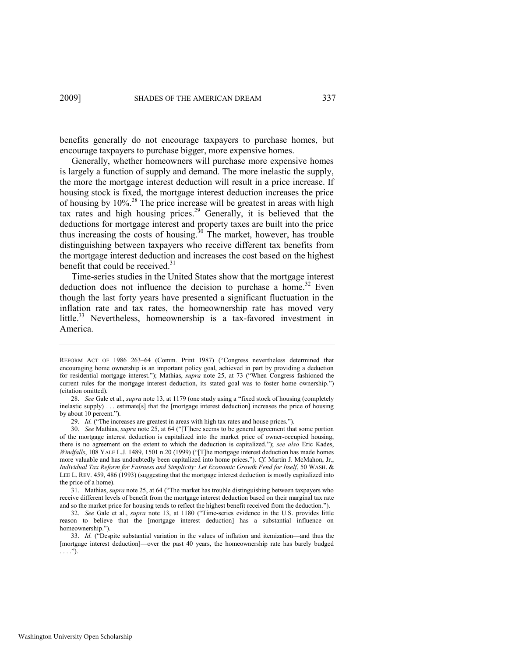benefits generally do not encourage taxpayers to purchase homes, but encourage taxpayers to purchase bigger, more expensive homes.

Generally, whether homeowners will purchase more expensive homes is largely a function of supply and demand. The more inelastic the supply, the more the mortgage interest deduction will result in a price increase. If housing stock is fixed, the mortgage interest deduction increases the price of housing by 10%.<sup>28</sup> The price increase will be greatest in areas with high tax rates and high housing prices.<sup>29</sup> Generally, it is believed that the deductions for mortgage interest and property taxes are built into the price thus increasing the costs of housing.<sup>30</sup> The market, however, has trouble distinguishing between taxpayers who receive different tax benefits from the mortgage interest deduction and increases the cost based on the highest benefit that could be received.<sup>31</sup>

Time-series studies in the United States show that the mortgage interest deduction does not influence the decision to purchase a home.<sup>32</sup> Even though the last forty years have presented a significant fluctuation in the inflation rate and tax rates, the homeownership rate has moved very little.<sup>33</sup> Nevertheless, homeownership is a tax-favored investment in America.

REFORM ACT OF 1986 263-64 (Comm. Print 1987) ("Congress nevertheless determined that encouraging home ownership is an important policy goal, achieved in part by providing a deduction for residential mortgage interest."); Mathias, *supra* note [25,](#page-8-0) at 73 ("When Congress fashioned the current rules for the mortgage interest deduction, its stated goal was to foster home ownership.") (citation omitted).

<sup>28.</sup> *See* Gale et al., *supra* not[e 13,](#page-5-0) at 1179 (one study using a "fixed stock of housing (completely inelastic supply) . . . estimate[s] that the [mortgage interest deduction] increases the price of housing by about 10 percent.").

<sup>29.</sup> *Id.* ("The increases are greatest in areas with high tax rates and house prices.").

<sup>30.</sup> *See* Mathias, *supra* note [25,](#page-8-0) at 64 ("[T]here seems to be general agreement that some portion of the mortgage interest deduction is capitalized into the market price of owner-occupied housing, there is no agreement on the extent to which the deduction is capitalized.‖); *see also* Eric Kades, *Windfalls*, 108 YALE L.J. 1489, 1501 n.20 (1999) ("[T]he mortgage interest deduction has made homes more valuable and has undoubtedly been capitalized into home prices."). *Cf.* Martin J. McMahon, Jr., *Individual Tax Reform for Fairness and Simplicity: Let Economic Growth Fend for Itself*, 50 WASH. & LEE L. REV. 459, 486 (1993) (suggesting that the mortgage interest deduction is mostly capitalized into the price of a home).

<sup>31.</sup> Mathias, *supra* not[e 25,](#page-8-0) at 64 ("The market has trouble distinguishing between taxpayers who receive different levels of benefit from the mortgage interest deduction based on their marginal tax rate and so the market price for housing tends to reflect the highest benefit received from the deduction.").

<sup>32.</sup> *See* Gale et al., *supra* note [13](#page-5-0), at 1180 ("Time-series evidence in the U.S. provides little reason to believe that the [mortgage interest deduction] has a substantial influence on homeownership.").

<sup>33.</sup> *Id.* ("Despite substantial variation in the values of inflation and itemization—and thus the [mortgage interest deduction]—over the past 40 years, the homeownership rate has barely budged  $\ldots$ .").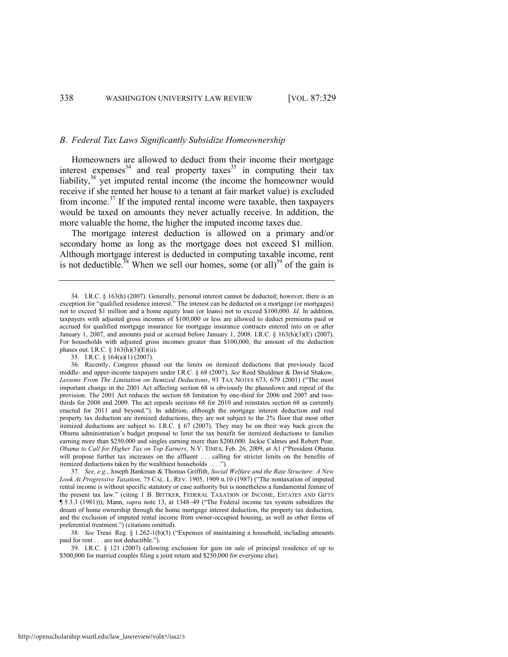#### *B. Federal Tax Laws Significantly Subsidize Homeownership*

Homeowners are allowed to deduct from their income their mortgage interest expenses<sup>34</sup> and real property taxes<sup>35</sup> in computing their tax liability, $36 \text{ yet imputed rental income}$  (the income the homeowner would receive if she rented her house to a tenant at fair market value) is excluded from income.<sup>37</sup> If the imputed rental income were taxable, then taxpayers would be taxed on amounts they never actually receive. In addition, the more valuable the home, the higher the imputed income taxes due.

The mortgage interest deduction is allowed on a primary and/or secondary home as long as the mortgage does not exceed \$1 million. Although mortgage interest is deducted in computing taxable income, rent is not deductible.<sup>38</sup> When we sell our homes, some (or all)<sup>39</sup> of the gain is

35. I.R.C. § 164(a)(1) (2007).

<sup>34.</sup> I.R.C. § 163(h) (2007). Generally, personal interest cannot be deducted; however, there is an exception for "qualified residence interest." The interest can be deducted on a mortgage (or mortgages) not to exceed \$1 million and a home equity loan (or loans) not to exceed \$100,000. *Id.* In addition, taxpayers with adjusted gross incomes of \$100,000 or less are allowed to deduct premiums paid or accrued for qualified mortgage insurance for mortgage insurance contracts entered into on or after January 1, 2007, and amounts paid or accrued before January 1, 2008. I.R.C. § 163(h)(3)(E) (2007). For households with adjusted gross incomes greater than \$100,000, the amount of the deduction phases out. I.R.C.  $\S$  163(h)(3)(E)(ii).

<sup>36.</sup> Recently, Congress phased out the limits on itemized deductions that previously faced middle- and upper-income taxpayers under I.R.C. § 68 (2007). *See* Reed Shuldiner & David Shakow, *Lessons From The Limitation on Itemized Deductions*, 93 TAX NOTES 673, 679 (2001) ("The most important change in the 2001 Act affecting section 68 is obviously the phasedown and repeal of the provision. The 2001 Act reduces the section 68 limitation by one-third for 2006 and 2007 and twothirds for 2008 and 2009. The act repeals sections 68 for 2010 and reinstates section 68 as currently enacted for 2011 and beyond."). In addition, although the mortgage interest deduction and real property tax deduction are itemized deductions, they are not subject to the 2% floor that most other itemized deductions are subject to. I.R.C. § 67 (2007). They may be on their way back given the Obama administration's budget proposal to limit the tax benefit for itemized deductions to families earning more than \$250,000 and singles earning more than \$200,000. Jackie Calmes and Robert Pear, *Obama to Call for Higher Tax on Top Earners*, N.Y. TIMES, Feb. 26, 2009, at A1 ("President Obama will propose further tax increases on the affluent ... calling for stricter limits on the benefits of itemized deductions taken by the wealthiest households . . . .").

<sup>37.</sup> *See, e.g.*, Joseph Bankman & Thomas Griffith, *Social Welfare and the Rate Structure: A New*  Look At Progressive Taxation, 75 CAL. L. REV. 1905, 1909 n.10 (1987) ("The nontaxation of imputed rental income is without specific statutory or case authority but is nonetheless a fundamental feature of the present tax law.‖ (citing 1 B. BITTKER, FEDERAL TAXATION OF INCOME, ESTATES AND GIFTS ¶ 5.3.3 (1981))); Mann, *supra* note [13,](#page-5-0) at 1348–49 ("The Federal income tax system subsidizes the dream of home ownership through the home mortgage interest deduction, the property tax deduction, and the exclusion of imputed rental income from owner-occupied housing, as well as other forms of preferential treatment.") (citations omitted).

<sup>38.</sup> *See* Treas. Reg. § 1.262-1(b)(3) ("Expenses of maintaining a household, including amounts paid for rent . . . are not deductible.").

<sup>39.</sup> I.R.C. § 121 (2007) (allowing exclusion for gain on sale of principal residence of up to \$500,000 for married couples filing a joint return and \$250,000 for everyone else).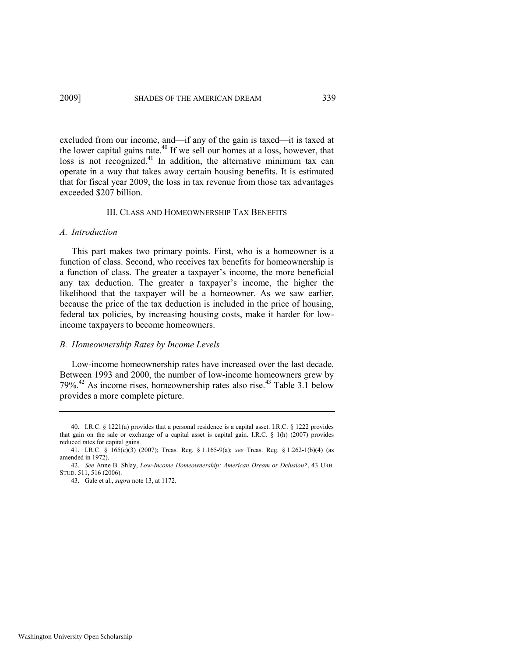excluded from our income, and—if any of the gain is taxed—it is taxed at the lower capital gains rate.<sup>40</sup> If we sell our homes at a loss, however, that loss is not recognized.<sup>41</sup> In addition, the alternative minimum tax can operate in a way that takes away certain housing benefits. It is estimated that for fiscal year 2009, the loss in tax revenue from those tax advantages exceeded \$207 billion.

#### III. CLASS AND HOMEOWNERSHIP TAX BENEFITS

# *A. Introduction*

This part makes two primary points. First, who is a homeowner is a function of class. Second, who receives tax benefits for homeownership is a function of class. The greater a taxpayer's income, the more beneficial any tax deduction. The greater a taxpayer's income, the higher the likelihood that the taxpayer will be a homeowner. As we saw earlier, because the price of the tax deduction is included in the price of housing, federal tax policies, by increasing housing costs, make it harder for lowincome taxpayers to become homeowners.

## *B. Homeownership Rates by Income Levels*

<span id="page-11-0"></span>Low-income homeownership rates have increased over the last decade. Between 1993 and 2000, the number of low-income homeowners grew by 79%.<sup>42</sup> As income rises, homeownership rates also rise.<sup>43</sup> Table 3.1 below provides a more complete picture.

<sup>40.</sup> I.R.C. § 1221(a) provides that a personal residence is a capital asset. I.R.C. § 1222 provides that gain on the sale or exchange of a capital asset is capital gain. I.R.C. § 1(h) (2007) provides reduced rates for capital gains.

<sup>41.</sup> I.R.C. § 165(c)(3) (2007); Treas. Reg. § 1.165-9(a); *see* Treas. Reg. § 1.262-1(b)(4) (as amended in 1972).

<sup>42.</sup> *See* Anne B. Shlay, *Low-Income Homeownership: American Dream or Delusion?*, 43 URB. STUD. 511, 516 (2006).

<sup>43.</sup> Gale et al., *supra* not[e 13,](#page-5-0) at 1172.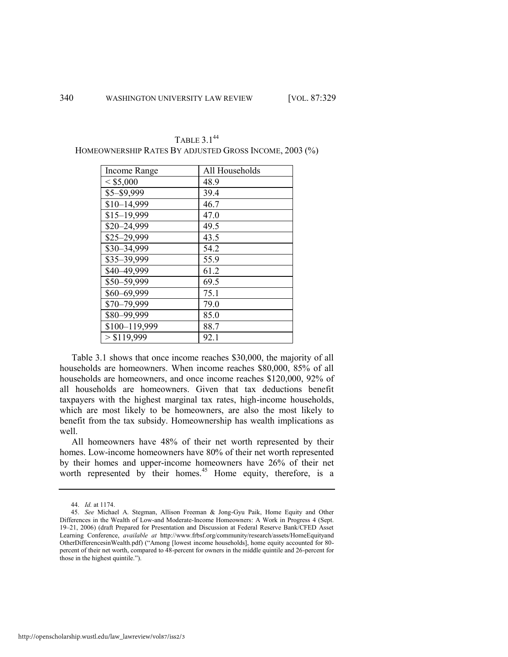| Income Range  | All Households |
|---------------|----------------|
| < \$5,000     | 48.9           |
| \$5-\$9,999   | 39.4           |
| $$10-14,999$  | 46.7           |
| $$15-19,999$  | 47.0           |
| \$20-24,999   | 49.5           |
| \$25-29,999   | 43.5           |
| \$30-34,999   | 54.2           |
| \$35-39,999   | 55.9           |
| \$40-49,999   | 61.2           |
| \$50-59,999   | 69.5           |
| \$60-69,999   | 75.1           |
| \$70-79,999   | 79.0           |
| \$80-99,999   | 85.0           |
| \$100-119,999 | 88.7           |
| > \$119,999   | 92.1           |

TABLE 3.1<sup>44</sup> HOMEOWNERSHIP RATES BY ADJUSTED GROSS INCOME, 2003 (%)

Table 3.1 shows that once income reaches \$30,000, the majority of all households are homeowners. When income reaches \$80,000, 85% of all households are homeowners, and once income reaches \$120,000, 92% of all households are homeowners. Given that tax deductions benefit taxpayers with the highest marginal tax rates, high-income households, which are most likely to be homeowners, are also the most likely to benefit from the tax subsidy. Homeownership has wealth implications as well.

All homeowners have 48% of their net worth represented by their homes. Low-income homeowners have 80% of their net worth represented by their homes and upper-income homeowners have 26% of their net worth represented by their homes.<sup>45</sup> Home equity, therefore, is a

<span id="page-12-0"></span><sup>44.</sup> *Id.* at 1174.

<sup>45.</sup> *See* Michael A. Stegman, Allison Freeman & Jong-Gyu Paik, Home Equity and Other Differences in the Wealth of Low-and Moderate-Income Homeowners: A Work in Progress 4 (Sept. 19–21, 2006) (draft Prepared for Presentation and Discussion at Federal Reserve Bank/CFED Asset Learning Conference, *available at* http://www.frbsf.org/community/research/assets/HomeEquityand OtherDifferencesinWealth.pdf) ("Among [lowest income households], home equity accounted for 80percent of their net worth, compared to 48-percent for owners in the middle quintile and 26-percent for those in the highest quintile.").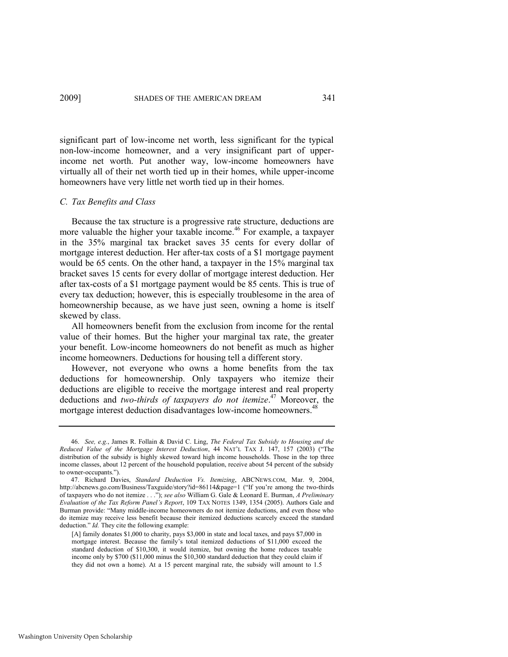significant part of low-income net worth, less significant for the typical non-low-income homeowner, and a very insignificant part of upperincome net worth. Put another way, low-income homeowners have virtually all of their net worth tied up in their homes, while upper-income homeowners have very little net worth tied up in their homes.

## *C. Tax Benefits and Class*

Because the tax structure is a progressive rate structure, deductions are more valuable the higher your taxable income.<sup>46</sup> For example, a taxpayer in the 35% marginal tax bracket saves 35 cents for every dollar of mortgage interest deduction. Her after-tax costs of a \$1 mortgage payment would be 65 cents. On the other hand, a taxpayer in the 15% marginal tax bracket saves 15 cents for every dollar of mortgage interest deduction. Her after tax-costs of a \$1 mortgage payment would be 85 cents. This is true of every tax deduction; however, this is especially troublesome in the area of homeownership because, as we have just seen, owning a home is itself skewed by class.

All homeowners benefit from the exclusion from income for the rental value of their homes. But the higher your marginal tax rate, the greater your benefit. Low-income homeowners do not benefit as much as higher income homeowners. Deductions for housing tell a different story.

However, not everyone who owns a home benefits from the tax deductions for homeownership. Only taxpayers who itemize their deductions are eligible to receive the mortgage interest and real property deductions and *two-thirds of taxpayers do not itemize*. <sup>47</sup> Moreover, the mortgage interest deduction disadvantages low-income homeowners.<sup>48</sup>

<span id="page-13-0"></span><sup>46.</sup> *See, e.g.*, James R. Follain & David C. Ling, *The Federal Tax Subsidy to Housing and the Reduced Value of the Mortgage Interest Deduction*, 44 NAT'L TAX J. 147, 157 (2003) ("The distribution of the subsidy is highly skewed toward high income households. Those in the top three income classes, about 12 percent of the household population, receive about 54 percent of the subsidy to owner-occupants.").

<sup>47.</sup> Richard Davies, *Standard Deduction Vs. Itemizing*, ABCNEWS.COM, Mar. 9, 2004, <http://abcnews.go.com/Business/Taxguide/story?id=86114&page=1> ("If you're among the two-thirds of taxpayers who do not itemize . . .‖); *see also* William G. Gale & Leonard E. Burman, *A Preliminary Evaluation of the Tax Reform Panel's Report*, 109 TAX NOTES 1349, 1354 (2005). Authors Gale and Burman provide: "Many middle-income homeowners do not itemize deductions, and even those who do itemize may receive less benefit because their itemized deductions scarcely exceed the standard deduction." *Id.* They cite the following example:

<sup>[</sup>A] family donates \$1,000 to charity, pays \$3,000 in state and local taxes, and pays \$7,000 in mortgage interest. Because the family's total itemized deductions of \$11,000 exceed the standard deduction of \$10,300, it would itemize, but owning the home reduces taxable income only by \$700 (\$11,000 minus the \$10,300 standard deduction that they could claim if they did not own a home). At a 15 percent marginal rate, the subsidy will amount to 1.5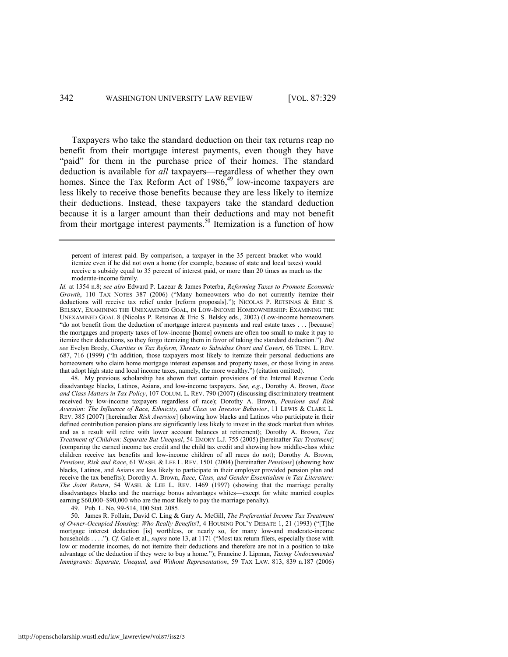Taxpayers who take the standard deduction on their tax returns reap no benefit from their mortgage interest payments, even though they have "paid" for them in the purchase price of their homes. The standard deduction is available for *all* taxpayers—regardless of whether they own homes. Since the Tax Reform Act of  $1986<sup>49</sup>$  low-income taxpayers are less likely to receive those benefits because they are less likely to itemize their deductions. Instead, these taxpayers take the standard deduction because it is a larger amount than their deductions and may not benefit from their mortgage interest payments.<sup>50</sup> Itemization is a function of how

*Id.* at 1354 n.8; *see also* Edward P. Lazear & James Poterba, *Reforming Taxes to Promote Economic Growth*, 110 TAX NOTES 387 (2006) ("Many homeowners who do not currently itemize their deductions will receive tax relief under [reform proposals]."); NICOLAS P. RETSINAS & ERIC S. BELSKY, EXAMINING THE UNEXAMINED GOAL, IN LOW-INCOME HOMEOWNERSHIP: EXAMINING THE UNEXAMINED GOAL 8 (Nicolas P. Retsinas & Eric S. Belsky eds., 2002) (Low-income homeowners "do not benefit from the deduction of mortgage interest payments and real estate taxes . . . [because] the mortgages and property taxes of low-income [home] owners are often too small to make it pay to itemize their deductions, so they forgo itemizing them in favor of taking the standard deduction."). *But see* Evelyn Brody, *Charities in Tax Reform, Threats to Subsidies Overt and Covert*, 66 TENN. L. REV. 687, 716 (1999) ("In addition, those taxpayers most likely to itemize their personal deductions are homeowners who claim home mortgage interest expenses and property taxes, or those living in areas that adopt high state and local income taxes, namely, the more wealthy.") (citation omitted).

48. My previous scholarship has shown that certain provisions of the Internal Revenue Code disadvantage blacks, Latinos, Asians, and low-income taxpayers. *See, e.g.*, Dorothy A. Brown, *Race and Class Matters in Tax Policy*, 107 COLUM. L. REV. 790 (2007) (discussing discriminatory treatment received by low-income taxpayers regardless of race); Dorothy A. Brown, *Pensions and Risk Aversion: The Influence of Race, Ethnicity, and Class on Investor Behavior*, 11 LEWIS & CLARK L. REV. 385 (2007) [hereinafter *Risk Aversion*] (showing how blacks and Latinos who participate in their defined contribution pension plans are significantly less likely to invest in the stock market than whites and as a result will retire with lower account balances at retirement); Dorothy A. Brown, *Tax Treatment of Children: Separate But Unequal*, 54 EMORY L.J. 755 (2005) [hereinafter *Tax Treatment*] (comparing the earned income tax credit and the child tax credit and showing how middle-class white children receive tax benefits and low-income children of all races do not); Dorothy A. Brown, *Pensions, Risk and Race*, 61 WASH. & LEE L. REV. 1501 (2004) [hereinafter *Pensions*] (showing how blacks, Latinos, and Asians are less likely to participate in their employer provided pension plan and receive the tax benefits); Dorothy A. Brown, *Race, Class, and Gender Essentialism in Tax Literature: The Joint Return*, 54 WASH. & LEE L. REV. 1469 (1997) (showing that the marriage penalty disadvantages blacks and the marriage bonus advantages whites—except for white married couples earning \$60,000–\$90,000 who are the most likely to pay the marriage penalty).

49. Pub. L. No. 99-514, 100 Stat. 2085.

50. James R. Follain, David C. Ling & Gary A. McGill, *The Preferential Income Tax Treatment of Owner-Occupied Housing: Who Really Benefits*?, 4 HOUSING POL'Y DEBATE 1, 21 (1993) ("[T]he mortgage interest deduction [is] worthless, or nearly so, for many low-and moderate-income households . . . .<sup>"</sup>). *Cf.* Gale et al., *supra* not[e 13,](#page-5-0) at 1171 ("Most tax return filers, especially those with low or moderate incomes, do not itemize their deductions and therefore are not in a position to take advantage of the deduction if they were to buy a home."); Francine J. Lipman, *Taxing Undocumented Immigrants: Separate, Unequal, and Without Representation*, 59 TAX LAW. 813, 839 n.187 (2006)

percent of interest paid. By comparison, a taxpayer in the 35 percent bracket who would itemize even if he did not own a home (for example, because of state and local taxes) would receive a subsidy equal to 35 percent of interest paid, or more than 20 times as much as the moderate-income family.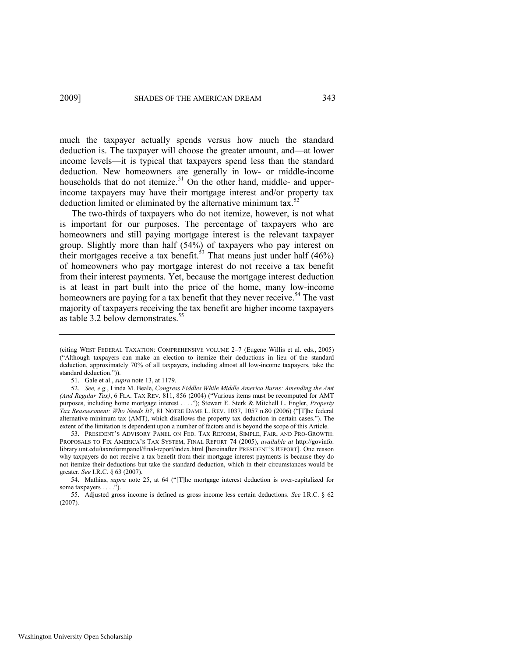much the taxpayer actually spends versus how much the standard deduction is. The taxpayer will choose the greater amount, and—at lower income levels—it is typical that taxpayers spend less than the standard deduction. New homeowners are generally in low- or middle-income households that do not itemize.<sup>51</sup> On the other hand, middle- and upperincome taxpayers may have their mortgage interest and/or property tax deduction limited or eliminated by the alternative minimum tax. $52$ 

<span id="page-15-0"></span>The two-thirds of taxpayers who do not itemize, however, is not what is important for our purposes. The percentage of taxpayers who are homeowners and still paying mortgage interest is the relevant taxpayer group. Slightly more than half (54%) of taxpayers who pay interest on their mortgages receive a tax benefit.<sup>53</sup> That means just under half  $(46%)$ of homeowners who pay mortgage interest do not receive a tax benefit from their interest payments. Yet, because the mortgage interest deduction is at least in part built into the price of the home, many low-income homeowners are paying for a tax benefit that they never receive.<sup>54</sup> The vast majority of taxpayers receiving the tax benefit are higher income taxpayers as table 3.2 below demonstrates.<sup>55</sup>

<sup>(</sup>citing WEST FEDERAL TAXATION: COMPREHENSIVE VOLUME 2–7 (Eugene Willis et al. eds., 2005) (―Although taxpayers can make an election to itemize their deductions in lieu of the standard deduction, approximately 70% of all taxpayers, including almost all low-income taxpayers, take the standard deduction.")).

<sup>51.</sup> Gale et al., *supra* not[e 13,](#page-5-0) at 1179.

<sup>52.</sup> *See, e.g.*, Linda M. Beale, *Congress Fiddles While Middle America Burns: Amending the Amt (And Regular Tax)*, 6 FLA. TAX REV. 811, 856 (2004) ("Various items must be recomputed for AMT purposes, including home mortgage interest . . . ."); Stewart E. Sterk & Mitchell L. Engler, *Property Tax Reassessment: Who Needs It?, 81 NOTRE DAME L. REV. 1037, 1057 n.80 (2006) ("[T]he federal* alternative minimum tax (AMT), which disallows the property tax deduction in certain cases."). The extent of the limitation is dependent upon a number of factors and is beyond the scope of this Article.

<sup>53.</sup> PRESIDENT'S ADVISORY PANEL ON FED. TAX REFORM, SIMPLE, FAIR, AND PRO-GROWTH: PROPOSALS TO FIX AMERICA'S TAX SYSTEM, FINAL REPORT 74 (2005), *available at* http://govinfo. library.unt.edu/taxreformpanel/final-report/index.html [hereinafter PRESIDENT'S REPORT]. One reason why taxpayers do not receive a tax benefit from their mortgage interest payments is because they do not itemize their deductions but take the standard deduction, which in their circumstances would be greater. *See* I.R.C. § 63 (2007).

<sup>54.</sup> Mathias, *supra* note [25,](#page-8-0) at 64 ("[T]he mortgage interest deduction is over-capitalized for some taxpayers . . . .").

<sup>55.</sup> Adjusted gross income is defined as gross income less certain deductions. *See* I.R.C. § 62 (2007).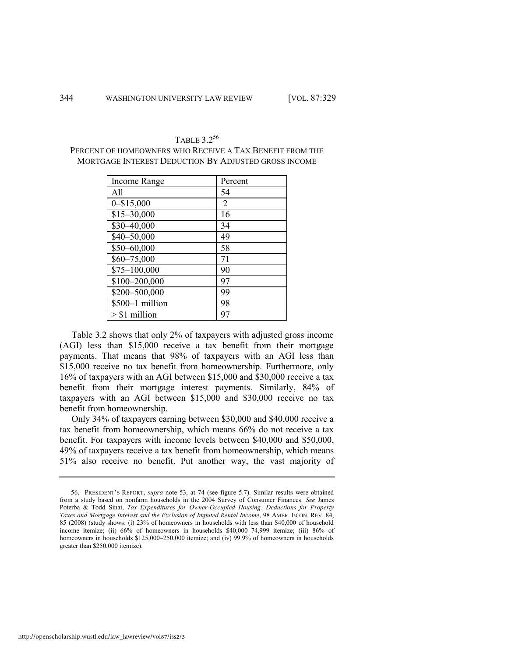| Income Range    | Percent |
|-----------------|---------|
| All             | 54      |
| $0 - $15,000$   | 2       |
| $$15 - 30,000$  | 16      |
| \$30-40,000     | 34      |
| \$40-50,000     | 49      |
| \$50-60,000     | 58      |
| $$60 - 75,000$  | 71      |
| $$75-100,000$   | 90      |
| \$100-200,000   | 97      |
| \$200-500,000   | 99      |
| \$500-1 million | 98      |
| $> $1$ million  | 97      |

TABLE 3.2<sup>56</sup> PERCENT OF HOMEOWNERS WHO RECEIVE A TAX BENEFIT FROM THE MORTGAGE INTEREST DEDUCTION BY ADJUSTED GROSS INCOME

Table 3.2 shows that only 2% of taxpayers with adjusted gross income (AGI) less than \$15,000 receive a tax benefit from their mortgage payments. That means that 98% of taxpayers with an AGI less than \$15,000 receive no tax benefit from homeownership. Furthermore, only 16% of taxpayers with an AGI between \$15,000 and \$30,000 receive a tax benefit from their mortgage interest payments. Similarly, 84% of taxpayers with an AGI between \$15,000 and \$30,000 receive no tax benefit from homeownership.

Only 34% of taxpayers earning between \$30,000 and \$40,000 receive a tax benefit from homeownership, which means 66% do not receive a tax benefit. For taxpayers with income levels between \$40,000 and \$50,000, 49% of taxpayers receive a tax benefit from homeownership, which means 51% also receive no benefit. Put another way, the vast majority of

<sup>56.</sup> PRESIDENT'S REPORT, *supra* note [53,](#page-15-0) at 74 (see figure 5.7). Similar results were obtained from a study based on nonfarm households in the 2004 Survey of Consumer Finances. *See* James Poterba & Todd Sinai, *Tax Expenditures for Owner-Occupied Housing: Deductions for Property Taxes and Mortgage Interest and the Exclusion of Imputed Rental Income*, 98 AMER. ECON. REV. 84, 85 (2008) (study shows: (i) 23% of homeowners in households with less than \$40,000 of household income itemize; (ii) 66% of homeowners in households \$40,000–74,999 itemize; (iii) 86% of homeowners in households \$125,000–250,000 itemize; and (iv) 99.9% of homeowners in households greater than \$250,000 itemize).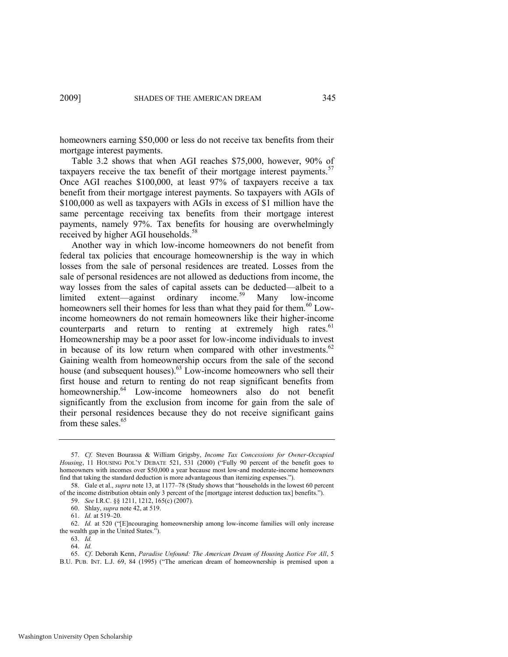homeowners earning \$50,000 or less do not receive tax benefits from their mortgage interest payments.

Table 3.2 shows that when AGI reaches \$75,000, however, 90% of taxpayers receive the tax benefit of their mortgage interest payments.<sup>57</sup> Once AGI reaches \$100,000, at least 97% of taxpayers receive a tax benefit from their mortgage interest payments. So taxpayers with AGIs of \$100,000 as well as taxpayers with AGIs in excess of \$1 million have the same percentage receiving tax benefits from their mortgage interest payments, namely 97%. Tax benefits for housing are overwhelmingly received by higher AGI households.<sup>58</sup>

Another way in which low-income homeowners do not benefit from federal tax policies that encourage homeownership is the way in which losses from the sale of personal residences are treated. Losses from the sale of personal residences are not allowed as deductions from income, the way losses from the sales of capital assets can be deducted—albeit to a limited extent—against ordinary income.<sup>59</sup> Many low-income homeowners sell their homes for less than what they paid for them.<sup>60</sup> Lowincome homeowners do not remain homeowners like their higher-income counterparts and return to renting at extremely high rates. $61$ Homeownership may be a poor asset for low-income individuals to invest in because of its low return when compared with other investments. $62$ Gaining wealth from homeownership occurs from the sale of the second house (and subsequent houses).<sup>63</sup> Low-income homeowners who sell their first house and return to renting do not reap significant benefits from homeownership.<sup>64</sup> Low-income homeowners also do not benefit significantly from the exclusion from income for gain from the sale of their personal residences because they do not receive significant gains from these sales. $65$ 

62. *Id.* at 520 ("[E]ncouraging homeownership among low-income families will only increase the wealth gap in the United States.").

63. *Id.*

65. *Cf*. Deborah Kenn, *Paradise Unfound: The American Dream of Housing Justice For All*, 5 B.U. PUB. INT. L.J. 69, 84 (1995) ("The american dream of homeownership is premised upon a

<sup>57.</sup> *Cf.* Steven Bourassa & William Grigsby, *Income Tax Concessions for Owner-Occupied*  Housing, 11 HOUSING POL'Y DEBATE 521, 531 (2000) ("Fully 90 percent of the benefit goes to homeowners with incomes over \$50,000 a year because most low-and moderate-income homeowners find that taking the standard deduction is more advantageous than itemizing expenses.").

<sup>58.</sup> Gale et al., *supra* not[e 13,](#page-5-0) at 1177–78 (Study shows that "households in the lowest 60 percent of the income distribution obtain only 3 percent of the [mortgage interest deduction tax] benefits.‖).

<sup>59.</sup> *See* I.R.C. §§ 1211, 1212, 165(c) (2007).

<sup>60.</sup> Shlay, *supra* not[e 42,](#page-11-0) at 519.

<sup>61.</sup> *Id.* at 519–20.

<sup>64.</sup> *Id.*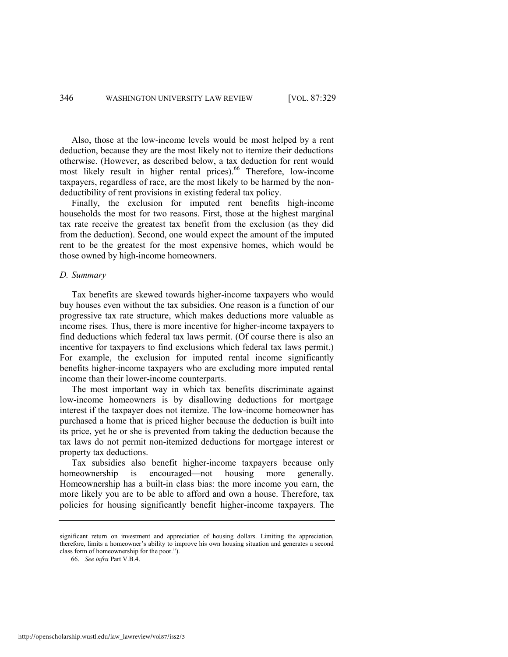Also, those at the low-income levels would be most helped by a rent deduction, because they are the most likely not to itemize their deductions otherwise. (However, as described below, a tax deduction for rent would most likely result in higher rental prices).<sup>66</sup> Therefore, low-income taxpayers, regardless of race, are the most likely to be harmed by the nondeductibility of rent provisions in existing federal tax policy.

Finally, the exclusion for imputed rent benefits high-income households the most for two reasons. First, those at the highest marginal tax rate receive the greatest tax benefit from the exclusion (as they did from the deduction). Second, one would expect the amount of the imputed rent to be the greatest for the most expensive homes, which would be those owned by high-income homeowners.

## *D. Summary*

Tax benefits are skewed towards higher-income taxpayers who would buy houses even without the tax subsidies. One reason is a function of our progressive tax rate structure, which makes deductions more valuable as income rises. Thus, there is more incentive for higher-income taxpayers to find deductions which federal tax laws permit. (Of course there is also an incentive for taxpayers to find exclusions which federal tax laws permit.) For example, the exclusion for imputed rental income significantly benefits higher-income taxpayers who are excluding more imputed rental income than their lower-income counterparts.

The most important way in which tax benefits discriminate against low-income homeowners is by disallowing deductions for mortgage interest if the taxpayer does not itemize. The low-income homeowner has purchased a home that is priced higher because the deduction is built into its price, yet he or she is prevented from taking the deduction because the tax laws do not permit non-itemized deductions for mortgage interest or property tax deductions.

Tax subsidies also benefit higher-income taxpayers because only homeownership is encouraged—not housing more generally. Homeownership has a built-in class bias: the more income you earn, the more likely you are to be able to afford and own a house. Therefore, tax policies for housing significantly benefit higher-income taxpayers. The

significant return on investment and appreciation of housing dollars. Limiting the appreciation, therefore, limits a homeowner's ability to improve his own housing situation and generates a second class form of homeownership for the poor.").

<sup>66.</sup> *See infra* Part V.B.4.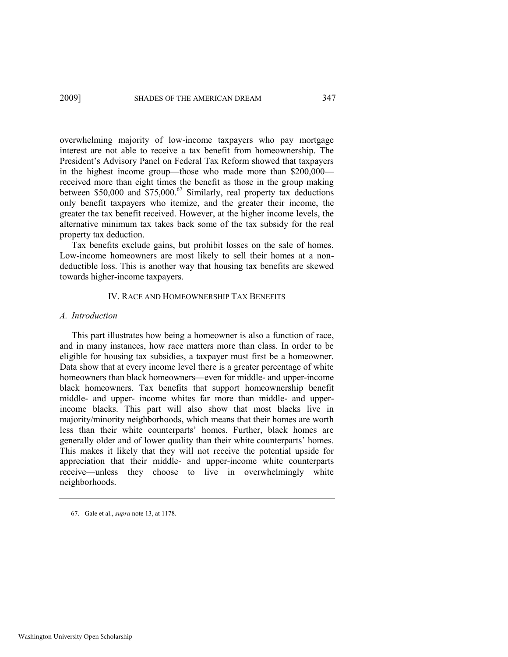overwhelming majority of low-income taxpayers who pay mortgage interest are not able to receive a tax benefit from homeownership. The President's Advisory Panel on Federal Tax Reform showed that taxpayers in the highest income group—those who made more than \$200,000 received more than eight times the benefit as those in the group making between \$50,000 and  $$75,000$ .<sup>67</sup> Similarly, real property tax deductions only benefit taxpayers who itemize, and the greater their income, the greater the tax benefit received. However, at the higher income levels, the alternative minimum tax takes back some of the tax subsidy for the real property tax deduction.

Tax benefits exclude gains, but prohibit losses on the sale of homes. Low-income homeowners are most likely to sell their homes at a nondeductible loss. This is another way that housing tax benefits are skewed towards higher-income taxpayers.

# IV. RACE AND HOMEOWNERSHIP TAX BENEFITS

# *A. Introduction*

This part illustrates how being a homeowner is also a function of race, and in many instances, how race matters more than class. In order to be eligible for housing tax subsidies, a taxpayer must first be a homeowner. Data show that at every income level there is a greater percentage of white homeowners than black homeowners—even for middle- and upper-income black homeowners. Tax benefits that support homeownership benefit middle- and upper- income whites far more than middle- and upperincome blacks. This part will also show that most blacks live in majority/minority neighborhoods, which means that their homes are worth less than their white counterparts' homes. Further, black homes are generally older and of lower quality than their white counterparts' homes. This makes it likely that they will not receive the potential upside for appreciation that their middle- and upper-income white counterparts receive—unless they choose to live in overwhelmingly white neighborhoods.

<sup>67.</sup> Gale et al., *supra* not[e 13,](#page-5-0) at 1178.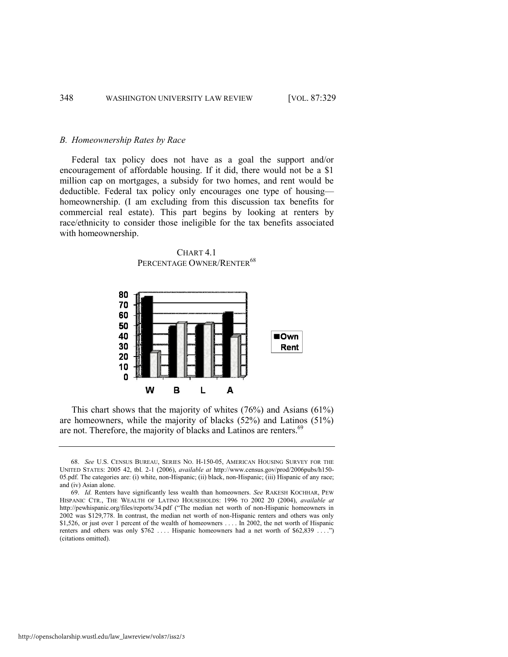#### *B. Homeownership Rates by Race*

Federal tax policy does not have as a goal the support and/or encouragement of affordable housing. If it did, there would not be a \$1 million cap on mortgages, a subsidy for two homes, and rent would be deductible. Federal tax policy only encourages one type of housing homeownership. (I am excluding from this discussion tax benefits for commercial real estate). This part begins by looking at renters by race/ethnicity to consider those ineligible for the tax benefits associated with homeownership.

CHART<sub>41</sub> PERCENTAGE OWNER/RENTER<sup>68</sup>

<span id="page-20-0"></span>

This chart shows that the majority of whites (76%) and Asians (61%) are homeowners, while the majority of blacks (52%) and Latinos (51%) are not. Therefore, the majority of blacks and Latinos are renters.<sup>69</sup>

<sup>68.</sup> *See* U.S. CENSUS BUREAU, SERIES NO. H-150-05, AMERICAN HOUSING SURVEY FOR THE UNITED STATES: 2005 42, tbl. 2-1 (2006), *available at* http://www.census.gov/prod/2006pubs/h150- 05.pdf. The categories are: (i) white, non-Hispanic; (ii) black, non-Hispanic; (iii) Hispanic of any race; and (iv) Asian alone.

<sup>69.</sup> *Id.* Renters have significantly less wealth than homeowners. *See* RAKESH KOCHHAR, PEW HISPANIC CTR., THE WEALTH OF LATINO HOUSEHOLDS: 1996 TO 2002 20 (2004), *available at* http://pewhispanic.org/files/reports/34.pdf ("The median net worth of non-Hispanic homeowners in 2002 was \$129,778. In contrast, the median net worth of non-Hispanic renters and others was only \$1,526, or just over 1 percent of the wealth of homeowners . . . . In 2002, the net worth of Hispanic renters and others was only \$762 .... Hispanic homeowners had a net worth of \$62,839 ....") (citations omitted).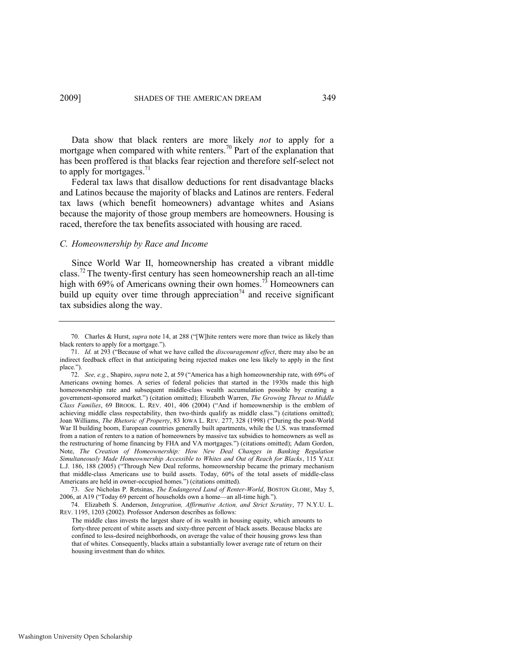Data show that black renters are more likely *not* to apply for a mortgage when compared with white renters.<sup>70</sup> Part of the explanation that has been proffered is that blacks fear rejection and therefore self-select not to apply for mortgages. $^{71}$ 

Federal tax laws that disallow deductions for rent disadvantage blacks and Latinos because the majority of blacks and Latinos are renters. Federal tax laws (which benefit homeowners) advantage whites and Asians because the majority of those group members are homeowners. Housing is raced, therefore the tax benefits associated with housing are raced.

#### *C. Homeownership by Race and Income*

Since World War II, homeownership has created a vibrant middle class.<sup>72</sup> The twenty-first century has seen homeownership reach an all-time high with 69% of Americans owning their own homes.<sup>73</sup> Homeowners can build up equity over time through appreciation<sup>74</sup> and receive significant tax subsidies along the way.

<sup>70.</sup> Charles & Hurst, *supra* note [14,](#page-5-1) at 288 ("[W]hite renters were more than twice as likely than black renters to apply for a mortgage.").

<sup>71.</sup> *Id.* at 293 ("Because of what we have called the *discouragement effect*, there may also be an indirect feedback effect in that anticipating being rejected makes one less likely to apply in the first place.").

<sup>72.</sup> *See, e.g.*, Shapiro, *supra* note [2,](#page-3-1) at 59 ("America has a high homeownership rate, with 69% of Americans owning homes. A series of federal policies that started in the 1930s made this high homeownership rate and subsequent middle-class wealth accumulation possible by creating a government-sponsored market.") (citation omitted); Elizabeth Warren, *The Growing Threat to Middle Class Families*, 69 BROOK. L. REV. 401, 406 (2004) ("And if homeownership is the emblem of achieving middle class respectability, then two-thirds qualify as middle class.") (citations omitted); Joan Williams, *The Rhetoric of Property*, 83 IOWA L. REV. 277, 328 (1998) ("During the post-World War II building boom, European countries generally built apartments, while the U.S. was transformed from a nation of renters to a nation of homeowners by massive tax subsidies to homeowners as well as the restructuring of home financing by FHA and VA mortgages.‖) (citations omitted); Adam Gordon, Note, *The Creation of Homeownership: How New Deal Changes in Banking Regulation Simultaneously Made Homeownership Accessible to Whites and Out of Reach for Blacks*, 115 YALE L.J. 186, 188 (2005) ("Through New Deal reforms, homeownership became the primary mechanism that middle-class Americans use to build assets. Today, 60% of the total assets of middle-class Americans are held in owner-occupied homes.") (citations omitted).

<sup>73.</sup> *See* Nicholas P. Retsinas, *The Endangered Land of Renter-World*, BOSTON GLOBE, May 5, 2006, at A19 ("Today 69 percent of households own a home—an all-time high.").

<sup>74.</sup> Elizabeth S. Anderson, *Integration, Affirmative Action, and Strict Scrutiny*, 77 N.Y.U. L. REV. 1195, 1203 (2002). Professor Anderson describes as follows:

The middle class invests the largest share of its wealth in housing equity, which amounts to forty-three percent of white assets and sixty-three percent of black assets. Because blacks are confined to less-desired neighborhoods, on average the value of their housing grows less than that of whites. Consequently, blacks attain a substantially lower average rate of return on their housing investment than do whites.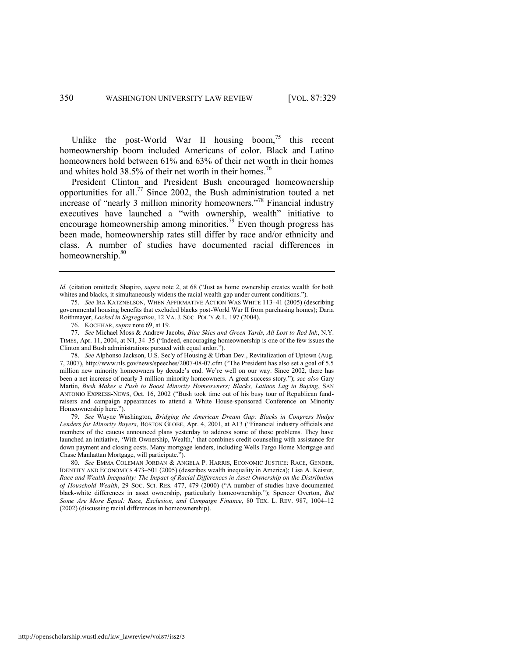Unlike the post-World War II housing boom,<sup>75</sup> this recent homeownership boom included Americans of color. Black and Latino homeowners hold between 61% and 63% of their net worth in their homes and whites hold  $38.5\%$  of their net worth in their homes.<sup>76</sup>

<span id="page-22-0"></span>President Clinton and President Bush encouraged homeownership opportunities for all.<sup>77</sup> Since 2002, the Bush administration touted a net increase of "nearly 3 million minority homeowners."<sup>78</sup> Financial industry executives have launched a "with ownership, wealth" initiative to encourage homeownership among minorities.<sup>79</sup> Even though progress has been made, homeownership rates still differ by race and/or ethnicity and class. A number of studies have documented racial differences in homeownership.<sup>80</sup>

79. *See* Wayne Washington, *Bridging the American Dream Gap: Blacks in Congress Nudge*  Lenders for Minority Buyers, BOSTON GLOBE, Apr. 4, 2001, at A13 ("Financial industry officials and members of the caucus announced plans yesterday to address some of those problems. They have launched an initiative, 'With Ownership, Wealth,' that combines credit counseling with assistance for down payment and closing costs. Many mortgage lenders, including Wells Fargo Home Mortgage and Chase Manhattan Mortgage, will participate.").

80. *See* EMMA COLEMAN JORDAN & ANGELA P. HARRIS, ECONOMIC JUSTICE: RACE, GENDER, IDENTITY AND ECONOMICS 473–501 (2005) (describes wealth inequality in America); Lisa A. Keister, *Race and Wealth Inequality: The Impact of Racial Differences in Asset Ownership on the Distribution of Household Wealth*, 29 Soc. Sci. RES. 477, 479 (2000) ("A number of studies have documented black-white differences in asset ownership, particularly homeownership."); Spencer Overton, *But Some Are More Equal: Race, Exclusion, and Campaign Finance*, 80 TEX. L. REV. 987, 1004–12 (2002) (discussing racial differences in homeownership).

<span id="page-22-1"></span>*Id.* (citation omitted); Shapiro, *supra* note [2,](#page-3-1) at 68 ("Just as home ownership creates wealth for both whites and blacks, it simultaneously widens the racial wealth gap under current conditions.").

<sup>75.</sup> *See* IRA KATZNELSON, WHEN AFFIRMATIVE ACTION WAS WHITE 113–41 (2005) (describing governmental housing benefits that excluded blacks post-World War II from purchasing homes); Daria Roithmayer, *Locked in Segregation*, 12 VA. J. SOC. POL'Y & L. 197 (2004).

<sup>76.</sup> KOCHHAR, *supra* not[e 69,](#page-20-0) at 19.

<sup>77.</sup> *See* Michael Moss & Andrew Jacobs, *Blue Skies and Green Yards, All Lost to Red Ink*, N.Y. TIMES, Apr. 11, 2004, at N1, 34–35 ("Indeed, encouraging homeownership is one of the few issues the Clinton and Bush administrations pursued with equal ardor.").

<sup>78.</sup> *See* Alphonso Jackson, U.S. Sec'y of Housing & Urban Dev., Revitalization of Uptown (Aug. 7, 2007), http://www.nls.gov/news/speeches/2007-08-07.cfm ("The President has also set a goal of 5.5 million new minority homeowners by decade's end. We're well on our way. Since 2002, there has been a net increase of nearly 3 million minority homeowners. A great success story."); *see also* Gary Martin, *Bush Makes a Push to Boost Minority Homeowners; Blacks, Latinos Lag in Buying*, SAN ANTONIO EXPRESS-NEWS, Oct. 16, 2002 ("Bush took time out of his busy tour of Republican fundraisers and campaign appearances to attend a White House-sponsored Conference on Minority Homeownership here.").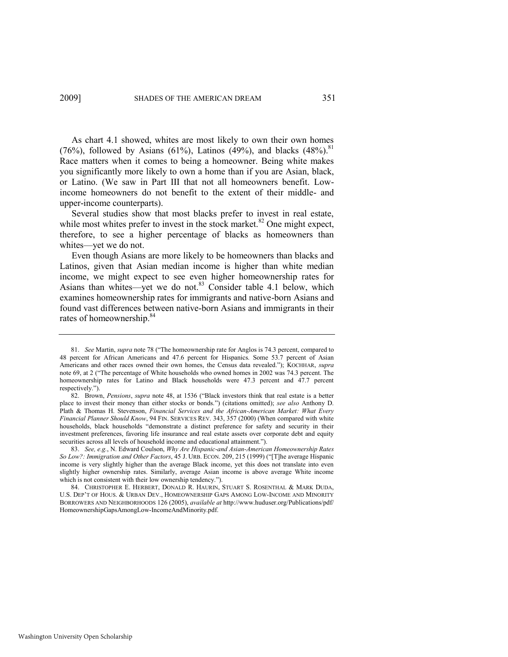As chart 4.1 showed, whites are most likely to own their own homes (76%), followed by Asians (61%), Latinos (49%), and blacks (48%).<sup>81</sup> Race matters when it comes to being a homeowner. Being white makes you significantly more likely to own a home than if you are Asian, black, or Latino. (We saw in Part III that not all homeowners benefit. Lowincome homeowners do not benefit to the extent of their middle- and upper-income counterparts).

Several studies show that most blacks prefer to invest in real estate, while most whites prefer to invest in the stock market. $82$  One might expect, therefore, to see a higher percentage of blacks as homeowners than whites—yet we do not.

Even though Asians are more likely to be homeowners than blacks and Latinos, given that Asian median income is higher than white median income, we might expect to see even higher homeownership rates for Asians than whites—yet we do not.<sup>83</sup> Consider table 4.1 below, which examines homeownership rates for immigrants and native-born Asians and found vast differences between native-born Asians and immigrants in their rates of homeownership.<sup>84</sup>

<sup>81.</sup> *See* Martin, *supra* not[e 78 \(](#page-22-0)"The homeownership rate for Anglos is 74.3 percent, compared to 48 percent for African Americans and 47.6 percent for Hispanics. Some 53.7 percent of Asian Americans and other races owned their own homes, the Census data revealed."); KOCHHAR, *supra* note [69,](#page-20-0) at 2 ("The percentage of White households who owned homes in 2002 was 74.3 percent. The homeownership rates for Latino and Black households were 47.3 percent and 47.7 percent respectively.").

<sup>82.</sup> Brown, *Pensions*, *supra* note [48,](#page-13-0) at 1536 ("Black investors think that real estate is a better place to invest their money than either stocks or bonds.") (citations omitted); see also Anthony D. Plath & Thomas H. Stevenson, *Financial Services and the African-American Market: What Every Financial Planner Should Know*, 94 FIN. SERVICES REV. 343, 357 (2000) (When compared with white households, black households "demonstrate a distinct preference for safety and security in their investment preferences, favoring life insurance and real estate assets over corporate debt and equity securities across all levels of household income and educational attainment.").

<sup>83.</sup> *See, e.g.*, N. Edward Coulson, *Why Are Hispanic-and Asian-American Homeownership Rates So Low?: Immigration and Other Factors*, 45 J. URB. ECON. 209, 215 (1999) ("[T]he average Hispanic income is very slightly higher than the average Black income, yet this does not translate into even slightly higher ownership rates. Similarly, average Asian income is above average White income which is not consistent with their low ownership tendency.").

<sup>84.</sup> CHRISTOPHER E. HERBERT, DONALD R. HAURIN, STUART S. ROSENTHAL & MARK DUDA, U.S. DEP'T OF HOUS. & URBAN DEV., HOMEOWNERSHIP GAPS AMONG LOW-INCOME AND MINORITY BORROWERS AND NEIGHBORHOODS 126 (2005), *available at* http://www.huduser.org/Publications/pdf/ HomeownershipGapsAmongLow-IncomeAndMinority.pdf.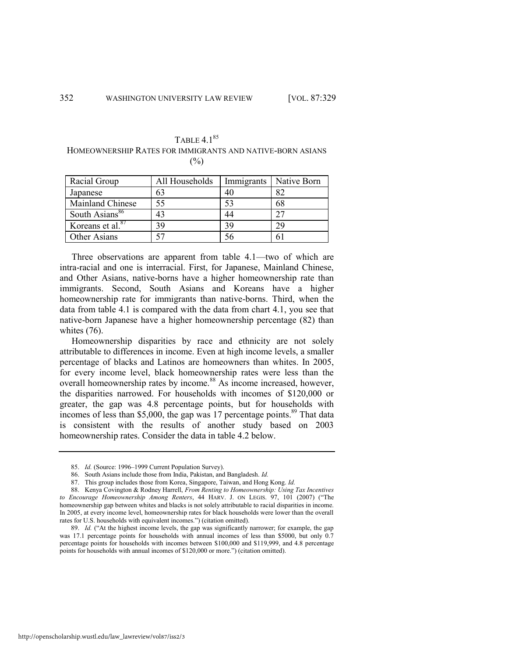| TABLE 4.1 <sup>85</sup>                                   |
|-----------------------------------------------------------|
| HOMEOWNERSHIP RATES FOR IMMIGRANTS AND NATIVE-BORN ASIANS |
| $($ %)                                                    |

| Racial Group               | All Households | Immigrants | Native Born |
|----------------------------|----------------|------------|-------------|
| Japanese                   | 63             | 40         | 82          |
| Mainland Chinese           | 55             | 53         | 68          |
| South Asians <sup>86</sup> | 43             | 44         |             |
| Koreans et al. $87$        | 39             | 39         | 29          |
| Other Asians               |                |            | h           |

Three observations are apparent from table 4.1—two of which are intra-racial and one is interracial. First, for Japanese, Mainland Chinese, and Other Asians, native-borns have a higher homeownership rate than immigrants. Second, South Asians and Koreans have a higher homeownership rate for immigrants than native-borns. Third, when the data from table 4.1 is compared with the data from chart 4.1, you see that native-born Japanese have a higher homeownership percentage (82) than whites (76).

Homeownership disparities by race and ethnicity are not solely attributable to differences in income. Even at high income levels, a smaller percentage of blacks and Latinos are homeowners than whites. In 2005, for every income level, black homeownership rates were less than the overall homeownership rates by income.<sup>88</sup> As income increased, however, the disparities narrowed. For households with incomes of \$120,000 or greater, the gap was 4.8 percentage points, but for households with incomes of less than \$5,000, the gap was 17 percentage points. $89$  That data is consistent with the results of another study based on 2003 homeownership rates. Consider the data in table 4.2 below.

<sup>85.</sup> *Id.* (Source: 1996–1999 Current Population Survey).

<sup>86.</sup> South Asians include those from India, Pakistan, and Bangladesh. *Id.*

<sup>87.</sup> This group includes those from Korea, Singapore, Taiwan, and Hong Kong. *Id.*

<sup>88.</sup> Kenya Covington & Rodney Harrell, *From Renting to Homeownership: Using Tax Incentives*  to Encourage Homeownership Among Renters, 44 HARV. J. ON LEGIS. 97, 101 (2007) ("The homeownership gap between whites and blacks is not solely attributable to racial disparities in income. In 2005, at every income level, homeownership rates for black households were lower than the overall rates for U.S. households with equivalent incomes.") (citation omitted).

<sup>89.</sup> *Id.* ("At the highest income levels, the gap was significantly narrower; for example, the gap was 17.1 percentage points for households with annual incomes of less than \$5000, but only 0.7 percentage points for households with incomes between \$100,000 and \$119,999, and 4.8 percentage points for households with annual incomes of \$120,000 or more.") (citation omitted).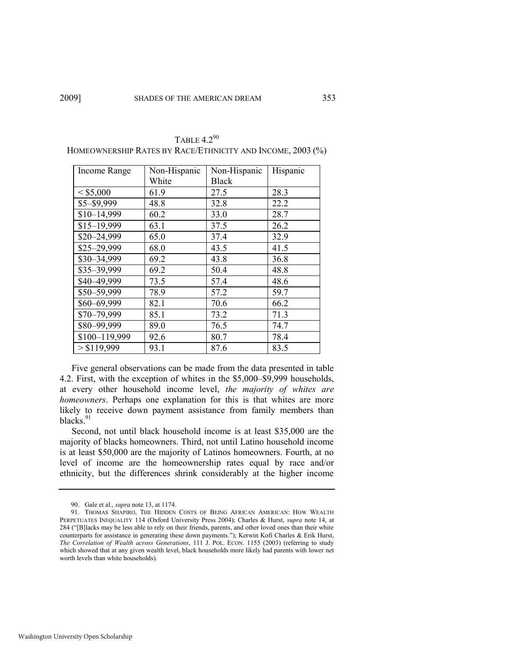| Income Range  | Non-Hispanic | Non-Hispanic | Hispanic |
|---------------|--------------|--------------|----------|
|               | White        | <b>Black</b> |          |
| < \$5,000     | 61.9         | 27.5         | 28.3     |
| \$5-\$9,999   | 48.8         | 32.8         | 22.2     |
| $$10-14,999$  | 60.2         | 33.0         | 28.7     |
| $$15-19,999$  | 63.1         | 37.5         | 26.2     |
| \$20-24,999   | 65.0         | 37.4         | 32.9     |
| \$25-29,999   | 68.0         | 43.5         | 41.5     |
| \$30-34,999   | 69.2         | 43.8         | 36.8     |
| \$35-39,999   | 69.2         | 50.4         | 48.8     |
| \$40-49,999   | 73.5         | 57.4         | 48.6     |
| \$50-59,999   | 78.9         | 57.2         | 59.7     |
| \$60-69,999   | 82.1         | 70.6         | 66.2     |
| \$70-79,999   | 85.1         | 73.2         | 71.3     |
| \$80-99,999   | 89.0         | 76.5         | 74.7     |
| \$100-119,999 | 92.6         | 80.7         | 78.4     |
| > \$119,999   | 93.1         | 87.6         | 83.5     |

TABLE  $4.2^{90}$ HOMEOWNERSHIP RATES BY RACE/ETHNICITY AND INCOME, 2003 (%)

Five general observations can be made from the data presented in table 4.2. First, with the exception of whites in the \$5,000–\$9,999 households, at every other household income level, *the majority of whites are homeowners*. Perhaps one explanation for this is that whites are more likely to receive down payment assistance from family members than blacks.<sup>91</sup>

Second, not until black household income is at least \$35,000 are the majority of blacks homeowners. Third, not until Latino household income is at least \$50,000 are the majority of Latinos homeowners. Fourth, at no level of income are the homeownership rates equal by race and/or ethnicity, but the differences shrink considerably at the higher income

<sup>90.</sup> Gale et al., *supra* not[e 13,](#page-5-0) at 1174.

<sup>91.</sup> THOMAS SHAPIRO, THE HIDDEN COSTS OF BEING AFRICAN AMERICAN: HOW WEALTH PERPETUATES INEQUALITY 114 (Oxford University Press 2004); Charles & Hurst, *supra* note [14,](#page-5-1) at 284 ("[B]lacks may be less able to rely on their friends, parents, and other loved ones than their white counterparts for assistance in generating these down payments."); Kerwin Kofi Charles & Erik Hurst, *The Correlation of Wealth across Generations*, 111 J. POL. ECON. 1155 (2003) (referring to study which showed that at any given wealth level, black households more likely had parents with lower net worth levels than white households).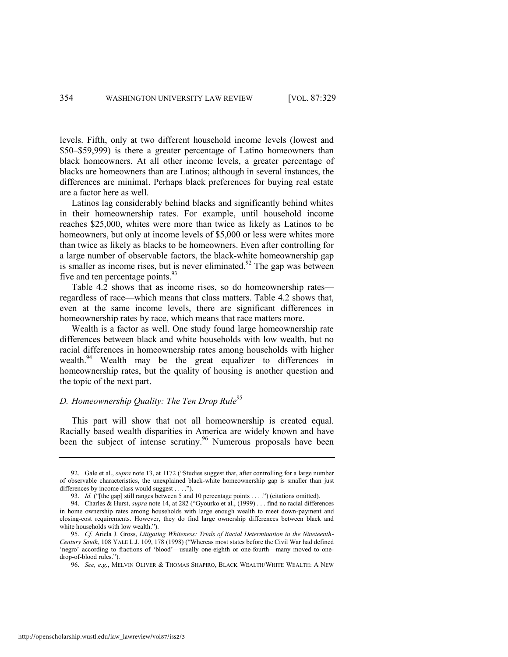levels. Fifth, only at two different household income levels (lowest and \$50–\$59,999) is there a greater percentage of Latino homeowners than black homeowners. At all other income levels, a greater percentage of blacks are homeowners than are Latinos; although in several instances, the differences are minimal. Perhaps black preferences for buying real estate are a factor here as well.

Latinos lag considerably behind blacks and significantly behind whites in their homeownership rates. For example, until household income reaches \$25,000, whites were more than twice as likely as Latinos to be homeowners, but only at income levels of \$5,000 or less were whites more than twice as likely as blacks to be homeowners. Even after controlling for a large number of observable factors, the black-white homeownership gap is smaller as income rises, but is never eliminated.<sup>92</sup> The gap was between five and ten percentage points.<sup>93</sup>

Table 4.2 shows that as income rises, so do homeownership rates regardless of race—which means that class matters. Table 4.2 shows that, even at the same income levels, there are significant differences in homeownership rates by race, which means that race matters more.

Wealth is a factor as well. One study found large homeownership rate differences between black and white households with low wealth, but no racial differences in homeownership rates among households with higher wealth.<sup>94</sup> Wealth may be the great equalizer to differences in homeownership rates, but the quality of housing is another question and the topic of the next part.

# *D. Homeownership Quality: The Ten Drop Rule*<sup>95</sup>

This part will show that not all homeownership is created equal. Racially based wealth disparities in America are widely known and have been the subject of intense scrutiny.<sup>96</sup> Numerous proposals have been

<sup>92.</sup> Gale et al., *supra* note [13,](#page-5-0) at 1172 ("Studies suggest that, after controlling for a large number of observable characteristics, the unexplained black-white homeownership gap is smaller than just differences by income class would suggest . . . .").

<sup>93.</sup> *Id.* ("[the gap] still ranges between 5 and 10 percentage points . . . .") (citations omitted).

<sup>94.</sup> Charles & Hurst, *supra* not[e 14,](#page-5-1) at 282 ("Gyourko et al., (1999) . . . find no racial differences in home ownership rates among households with large enough wealth to meet down-payment and closing-cost requirements. However, they do find large ownership differences between black and white households with low wealth.").

<sup>95.</sup> *Cf.* Ariela J. Gross, *Litigating Whiteness: Trials of Racial Determination in the Nineteenth-Century South*, 108 YALE L.J. 109, 178 (1998) ("Whereas most states before the Civil War had defined 'negro' according to fractions of 'blood'—usually one-eighth or one-fourth—many moved to onedrop-of-blood rules.").

<sup>96.</sup> *See, e.g.*, MELVIN OLIVER & THOMAS SHAPIRO, BLACK WEALTH/WHITE WEALTH: A NEW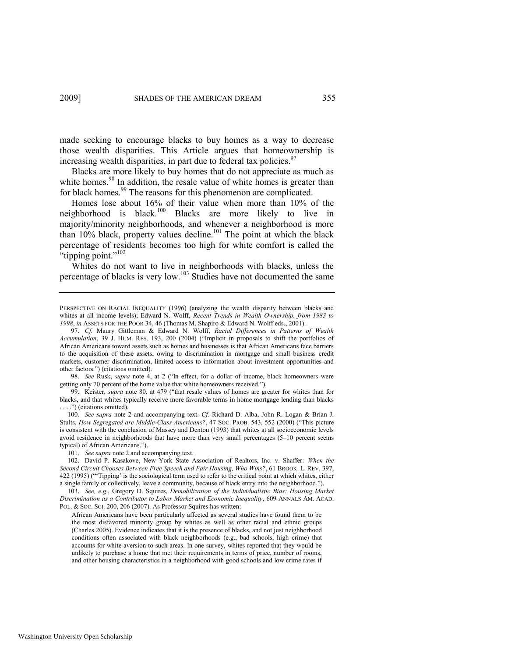made seeking to encourage blacks to buy homes as a way to decrease those wealth disparities. This Article argues that homeownership is increasing wealth disparities, in part due to federal tax policies.<sup>97</sup>

Blacks are more likely to buy homes that do not appreciate as much as white homes.<sup>98</sup> In addition, the resale value of white homes is greater than for black homes.<sup>99</sup> The reasons for this phenomenon are complicated.

<span id="page-27-1"></span>Homes lose about 16% of their value when more than 10% of the neighborhood is black.<sup>100</sup> Blacks are more likely to live in majority/minority neighborhoods, and whenever a neighborhood is more than  $10\%$  black, property values decline.<sup>101</sup> The point at which the black percentage of residents becomes too high for white comfort is called the "tipping point."<sup>102</sup>

<span id="page-27-0"></span>Whites do not want to live in neighborhoods with blacks, unless the percentage of blacks is very low.<sup>103</sup> Studies have not documented the same

98. *See* Rusk, *supra* note [4,](#page-3-0) at 2 ("In effect, for a dollar of income, black homeowners were getting only 70 percent of the home value that white homeowners received.").

99. Keister, *supra* note [80,](#page-22-1) at 479 ("that resale values of homes are greater for whites than for blacks, and that whites typically receive more favorable terms in home mortgage lending than blacks ....") (citations omitted).

100. *See supra* note [2](#page-3-1) and accompanying text. *Cf.* Richard D. Alba, John R. Logan & Brian J. Stults, *How Segregated are Middle-Class Americans*?, 47 Soc. PROB. 543, 552 (2000) ("This picture is consistent with the conclusion of Massey and Denton (1993) that whites at all socioeconomic levels avoid residence in neighborhoods that have more than very small percentages (5–10 percent seems typical) of African Americans.").

101. *See supra* not[e 2 a](#page-3-1)nd accompanying text.

102. David P. Kasakove, New York State Association of Realtors, Inc. v. Shaffer*: When the Second Circuit Chooses Between Free Speech and Fair Housing, Who Wins?*, 61 BROOK. L. REV. 397, 422 (1995) ("Tipping' is the sociological term used to refer to the critical point at which whites, either a single family or collectively, leave a community, because of black entry into the neighborhood.").

103. *See, e.g.*, Gregory D. Squires, *Demobilization of the Individualistic Bias: Housing Market Discrimination as a Contributor to Labor Market and Economic Inequality*, 609 ANNALS AM. ACAD. POL. & SOC. SCI. 200, 206 (2007). As Professor Squires has written:

African Americans have been particularly affected as several studies have found them to be the most disfavored minority group by whites as well as other racial and ethnic groups (Charles 2005). Evidence indicates that it is the presence of blacks, and not just neighborhood conditions often associated with black neighborhoods (e.g., bad schools, high crime) that accounts for white aversion to such areas. In one survey, whites reported that they would be unlikely to purchase a home that met their requirements in terms of price, number of rooms, and other housing characteristics in a neighborhood with good schools and low crime rates if

PERSPECTIVE ON RACIAL INEQUALITY (1996) (analyzing the wealth disparity between blacks and whites at all income levels); Edward N. Wolff, *Recent Trends in Wealth Ownership, from 1983 to 1998*, *in* ASSETS FOR THE POOR 34, 46 (Thomas M. Shapiro & Edward N. Wolff eds., 2001).

<sup>97.</sup> *Cf.* Maury Gittleman & Edward N. Wolff, *Racial Differences in Patterns of Wealth Accumulation*, 39 J. HUM. RES. 193, 200 (2004) ("Implicit in proposals to shift the portfolios of African Americans toward assets such as homes and businesses is that African Americans face barriers to the acquisition of these assets, owing to discrimination in mortgage and small business credit markets, customer discrimination, limited access to information about investment opportunities and other factors.‖) (citations omitted).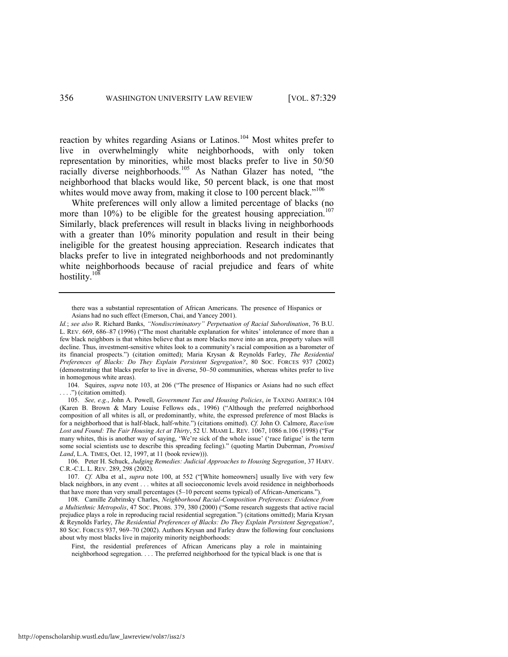reaction by whites regarding Asians or Latinos.<sup>104</sup> Most whites prefer to live in overwhelmingly white neighborhoods, with only token representation by minorities, while most blacks prefer to live in 50/50 racially diverse neighborhoods.<sup>105</sup> As Nathan Glazer has noted, "the neighborhood that blacks would like, 50 percent black, is one that most whites would move away from, making it close to 100 percent black."<sup>106</sup>

White preferences will only allow a limited percentage of blacks (no more than 10%) to be eligible for the greatest housing appreciation.<sup>107</sup> Similarly, black preferences will result in blacks living in neighborhoods with a greater than 10% minority population and result in their being ineligible for the greatest housing appreciation. Research indicates that blacks prefer to live in integrated neighborhoods and not predominantly white neighborhoods because of racial prejudice and fears of white hostility. $10\overline{8}$ 

104. Squires, *supra* note [103,](#page-27-0) at 206 ("The presence of Hispanics or Asians had no such effect . .") (citation omitted).

106. Peter H. Schuck, *Judging Remedies: Judicial Approaches to Housing Segregation*, 37 HARV. C.R.-C.L. L. REV. 289, 298 (2002).

107. *Cf.* Alba et al., *supra* note [100](#page-27-1), at 552 ("[White homeowners] usually live with very few black neighbors, in any event . . . whites at all socioeconomic levels avoid residence in neighborhoods that have more than very small percentages (5–10 percent seems typical) of African-Americans.").

108. Camille Zubrinsky Charles, *Neighborhood Racial-Composition Preferences: Evidence from a Multiethnic Metropolis*, 47 Soc. PROBS. 379, 380 (2000) ("Some research suggests that active racial prejudice plays a role in reproducing racial residential segregation.‖) (citations omitted); Maria Krysan & Reynolds Farley, *The Residential Preferences of Blacks: Do They Explain Persistent Segregation?*, 80 SOC. FORCES 937, 969–70 (2002). Authors Krysan and Farley draw the following four conclusions about why most blacks live in majority minority neighborhoods:

First, the residential preferences of African Americans play a role in maintaining neighborhood segregation. . . . The preferred neighborhood for the typical black is one that is

there was a substantial representation of African Americans. The presence of Hispanics or Asians had no such effect (Emerson, Chai, and Yancey 2001).

*Id.*; *see also* R. Richard Banks, *―Nondiscriminatory‖ Perpetuation of Racial Subordination*, 76 B.U. L. REV. 669, 686-87 (1996) ("The most charitable explanation for whites' intolerance of more than a few black neighbors is that whites believe that as more blacks move into an area, property values will decline. Thus, investment-sensitive whites look to a community's racial composition as a barometer of its financial prospects.‖) (citation omitted); Maria Krysan & Reynolds Farley, *The Residential Preferences of Blacks: Do They Explain Persistent Segregation?*, 80 SOC. FORCES 937 (2002) (demonstrating that blacks prefer to live in diverse, 50–50 communities, whereas whites prefer to live in homogenous white areas).

<sup>105.</sup> *See, e.g.*, John A. Powell, *Government Tax and Housing Policies*, *in* TAXING AMERICA 104 (Karen B. Brown & Mary Louise Fellows eds., 1996) ("Although the preferred neighborhood composition of all whites is all, or predominantly, white, the expressed preference of most Blacks is for a neighborhood that is half-black, half-white.") (citations omitted). *Cf.* John O. Calmore, *Race/ism* Lost and Found: The Fair Housing Act at Thirty, 52 U. MIAMI L. REV. 1067, 1086 n.106 (1998) ("For many whites, this is another way of saying, 'We're sick of the whole issue' ('race fatigue' is the term some social scientists use to describe this spreading feeling)." (quoting Martin Duberman, *Promised Land*, L.A. TIMES, Oct. 12, 1997, at 11 (book review))).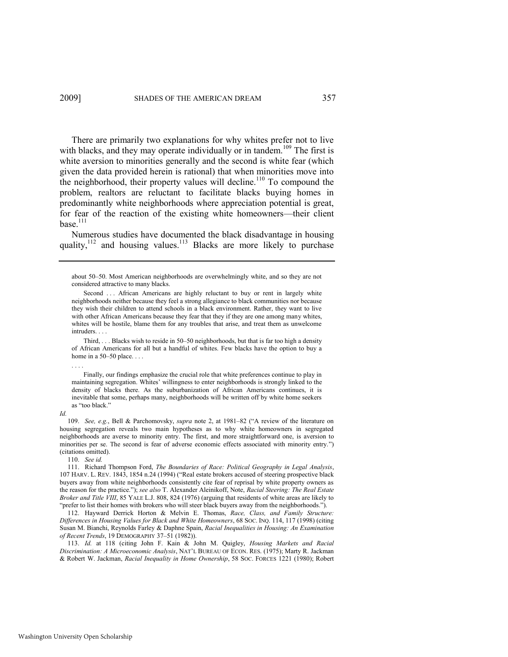There are primarily two explanations for why whites prefer not to live with blacks, and they may operate individually or in tandem.<sup>109</sup> The first is white aversion to minorities generally and the second is white fear (which given the data provided herein is rational) that when minorities move into the neighborhood, their property values will decline.<sup>110</sup> To compound the problem, realtors are reluctant to facilitate blacks buying homes in predominantly white neighborhoods where appreciation potential is great, for fear of the reaction of the existing white homeowners—their client base $^{111}$ 

<span id="page-29-1"></span><span id="page-29-0"></span>Numerous studies have documented the black disadvantage in housing quality,<sup>112</sup> and housing values.<sup>113</sup> Blacks are more likely to purchase

 Third, . . . Blacks wish to reside in 50–50 neighborhoods, but that is far too high a density of African Americans for all but a handful of whites. Few blacks have the option to buy a home in a 50–50 place. . . .

#### . . . .

 Finally, our findings emphasize the crucial role that white preferences continue to play in maintaining segregation. Whites' willingness to enter neighborhoods is strongly linked to the density of blacks there. As the suburbanization of African Americans continues, it is inevitable that some, perhaps many, neighborhoods will be written off by white home seekers as "too black."

*Id.*

109. See, e.g., Bell & Parchomovsky, *supra* note [2,](#page-3-1) at 1981-82 ("A review of the literature on housing segregation reveals two main hypotheses as to why white homeowners in segregated neighborhoods are averse to minority entry. The first, and more straightforward one, is aversion to minorities per se. The second is fear of adverse economic effects associated with minority entry.") (citations omitted).

110. *See id.*

111. Richard Thompson Ford, *The Boundaries of Race: Political Geography in Legal Analysis*, 107 HARV. L. REV. 1843, 1854 n.24 (1994) ("Real estate brokers accused of steering prospective black buyers away from white neighborhoods consistently cite fear of reprisal by white property owners as the reason for the practice.‖); *see also* T. Alexander Aleinikoff, Note, *Racial Steering: The Real Estate Broker and Title VIII*, 85 YALE L.J. 808, 824 (1976) (arguing that residents of white areas are likely to "prefer to list their homes with brokers who will steer black buyers away from the neighborhoods.").

112. Hayward Derrick Horton & Melvin E. Thomas, *Race, Class, and Family Structure: Differences in Housing Values for Black and White Homeowners*, 68 SOC. INQ. 114, 117 (1998) (citing Susan M. Bianchi, Reynolds Farley & Daphne Spain, *Racial Inequalities in Housing: An Examination of Recent Trends*, 19 DEMOGRAPHY 37–51 (1982)).

113. *Id.* at 118 (citing John F. Kain & John M. Quigley, *Housing Markets and Racial Discrimination: A Microeconomic Analysis*, NAT'L BUREAU OF ECON. RES. (1975); Marty R. Jackman & Robert W. Jackman, *Racial Inequality in Home Ownership*, 58 SOC. FORCES 1221 (1980); Robert

about 50–50. Most American neighborhoods are overwhelmingly white, and so they are not considered attractive to many blacks.

Second ... African Americans are highly reluctant to buy or rent in largely white neighborhoods neither because they feel a strong allegiance to black communities nor because they wish their children to attend schools in a black environment. Rather, they want to live with other African Americans because they fear that they if they are one among many whites, whites will be hostile, blame them for any troubles that arise, and treat them as unwelcome intruders.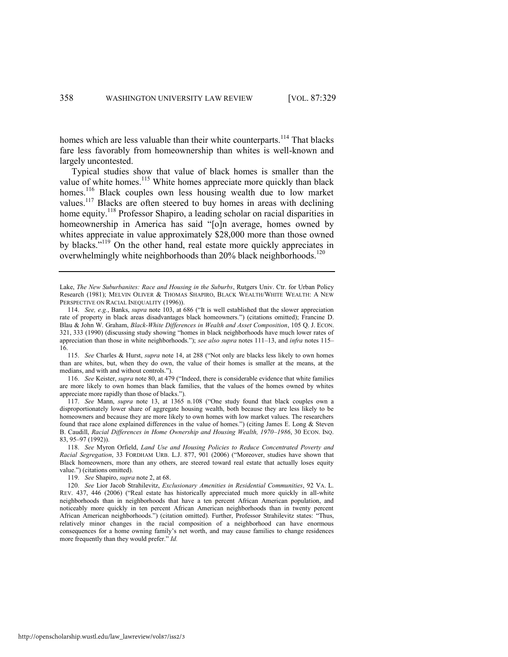homes which are less valuable than their white counterparts.<sup>114</sup> That blacks fare less favorably from homeownership than whites is well-known and largely uncontested.

<span id="page-30-0"></span>Typical studies show that value of black homes is smaller than the value of white homes.<sup>115</sup> White homes appreciate more quickly than black homes.<sup>116</sup> Black couples own less housing wealth due to low market values.<sup>117</sup> Blacks are often steered to buy homes in areas with declining home equity.<sup>118</sup> Professor Shapiro, a leading scholar on racial disparities in homeownership in America has said "[o]n average, homes owned by whites appreciate in value approximately \$28,000 more than those owned by blacks."<sup>119</sup> On the other hand, real estate more quickly appreciates in overwhelmingly white neighborhoods than 20% black neighborhoods.<sup>120</sup>

115. See Charles & Hurst, *supra* not[e 14,](#page-5-1) at 288 ("Not only are blacks less likely to own homes than are whites, but, when they do own, the value of their homes is smaller at the means, at the medians, and with and without controls.").

116. *See* Keister, *supra* not[e 80,](#page-22-1) at 479 ("Indeed, there is considerable evidence that white families are more likely to own homes than black families, that the values of the homes owned by whites appreciate more rapidly than those of blacks.").

117. *See* Mann, *supra* note [13,](#page-5-0) at 1365 n.108 ("One study found that black couples own a disproportionately lower share of aggregate housing wealth, both because they are less likely to be homeowners and because they are more likely to own homes with low market values. The researchers found that race alone explained differences in the value of homes.") (citing James E. Long & Steven B. Caudill, *Racial Differences in Home Ownership and Housing Wealth, 1970–1986*, 30 ECON. INQ. 83, 95–97 (1992)).

118. *See* Myron Orfield, *Land Use and Housing Policies to Reduce Concentrated Poverty and Racial Segregation*, 33 FORDHAM URB. L.J. 877, 901 (2006) ("Moreover, studies have shown that Black homeowners, more than any others, are steered toward real estate that actually loses equity value.") (citations omitted).

119. *See* Shapiro, *supra* not[e 2,](#page-3-1) at 68.

120. *See* Lior Jacob Strahilevitz, *Exclusionary Amenities in Residential Communities*, 92 VA. L. REV. 437, 446 (2006) ("Real estate has historically appreciated much more quickly in all-white neighborhoods than in neighborhoods that have a ten percent African American population, and noticeably more quickly in ten percent African American neighborhoods than in twenty percent African American neighborhoods.") (citation omitted). Further, Professor Strahilevitz states: "Thus, relatively minor changes in the racial composition of a neighborhood can have enormous consequences for a home owning family's net worth, and may cause families to change residences more frequently than they would prefer." *Id.* 

Lake, *The New Suburbanites: Race and Housing in the Suburbs*, Rutgers Univ. Ctr. for Urban Policy Research (1981); MELVIN OLIVER & THOMAS SHAPIRO, BLACK WEALTH/WHITE WEALTH: A NEW PERSPECTIVE ON RACIAL INEQUALITY (1996)).

<sup>114.</sup> *See, e.g.*, Banks, *supra* note [103,](#page-27-0) at 686 ("It is well established that the slower appreciation rate of property in black areas disadvantages black homeowners.") (citations omitted); Francine D. Blau & John W. Graham, *Black-White Differences in Wealth and Asset Composition*, 105 Q. J. ECON. 321, 333 (1990) (discussing study showing "homes in black neighborhoods have much lower rates of appreciation than those in white neighborhoods.‖); *see also supra* notes [111](#page-29-0)–13, and *infra* note[s 115](#page-30-0)– 16.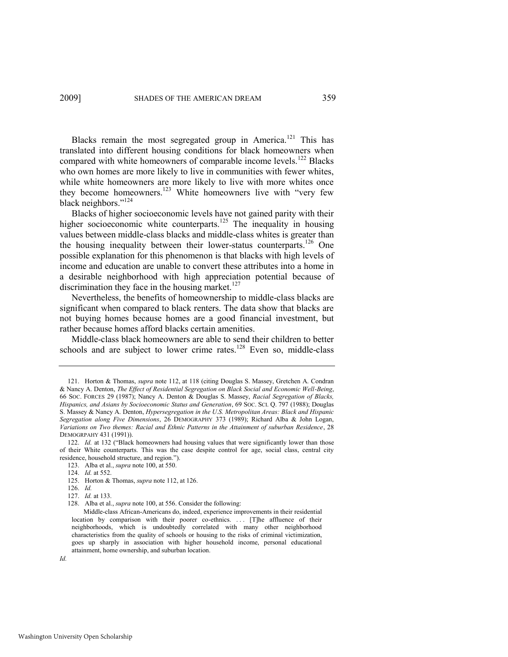Blacks remain the most segregated group in America.<sup>121</sup> This has translated into different housing conditions for black homeowners when compared with white homeowners of comparable income levels.<sup>122</sup> Blacks who own homes are more likely to live in communities with fewer whites, while white homeowners are more likely to live with more whites once they become homeowners.<sup>123</sup> White homeowners live with "very few black neighbors."<sup>124</sup>

Blacks of higher socioeconomic levels have not gained parity with their higher socioeconomic white counterparts.<sup>125</sup> The inequality in housing values between middle-class blacks and middle-class whites is greater than the housing inequality between their lower-status counterparts.<sup>126</sup> One possible explanation for this phenomenon is that blacks with high levels of income and education are unable to convert these attributes into a home in a desirable neighborhood with high appreciation potential because of discrimination they face in the housing market. $127$ 

Nevertheless, the benefits of homeownership to middle-class blacks are significant when compared to black renters. The data show that blacks are not buying homes because homes are a good financial investment, but rather because homes afford blacks certain amenities.

<span id="page-31-0"></span>Middle-class black homeowners are able to send their children to better schools and are subject to lower crime rates.<sup>128</sup> Even so, middle-class

<sup>121.</sup> Horton & Thomas, *supra* note [112,](#page-29-1) at 118 (citing Douglas S. Massey, Gretchen A. Condran & Nancy A. Denton, *The Effect of Residential Segregation on Black Social and Economic Well-Being*, 66 SOC. FORCES 29 (1987); Nancy A. Denton & Douglas S. Massey, *Racial Segregation of Blacks, Hispanics, and Asians by Socioeconomic Status and Generation*, 69 SOC. SCI. Q. 797 (1988); Douglas S. Massey & Nancy A. Denton, *Hypersegregation in the U.S. Metropolitan Areas: Black and Hispanic Segregation along Five Dimensions*, 26 DEMOGRAPHY 373 (1989); Richard Alba & John Logan, *Variations on Two themes: Racial and Ethnic Patterns in the Attainment of suburban Residence*, 28 DEMOGRPAHY 431 (1991)).

<sup>122.</sup> *Id.* at 132 ("Black homeowners had housing values that were significantly lower than those of their White counterparts. This was the case despite control for age, social class, central city residence, household structure, and region.").

<sup>123.</sup> Alba et al., *supra* not[e 100,](#page-27-1) at 550.

<sup>124.</sup> *Id.* at 552.

<sup>125.</sup> Horton & Thomas, *supra* not[e 112,](#page-29-1) at 126.

<sup>126.</sup> *Id.*

<sup>127.</sup> *Id.* at 133.

<sup>128.</sup> Alba et al., *supra* not[e 100,](#page-27-1) at 556. Consider the following:

Middle-class African-Americans do, indeed, experience improvements in their residential location by comparison with their poorer co-ethnics. ... [T]he affluence of their neighborhoods, which is undoubtedly correlated with many other neighborhood characteristics from the quality of schools or housing to the risks of criminal victimization, goes up sharply in association with higher household income, personal educational attainment, home ownership, and suburban location.

*Id.*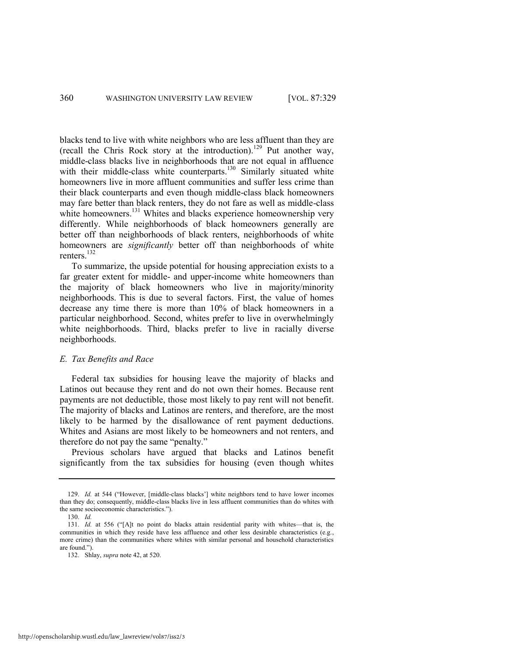blacks tend to live with white neighbors who are less affluent than they are (recall the Chris Rock story at the introduction).<sup>129</sup> Put another way, middle-class blacks live in neighborhoods that are not equal in affluence with their middle-class white counterparts.<sup>130</sup> Similarly situated white homeowners live in more affluent communities and suffer less crime than their black counterparts and even though middle-class black homeowners may fare better than black renters, they do not fare as well as middle-class white homeowners.<sup>131</sup> Whites and blacks experience homeownership very differently. While neighborhoods of black homeowners generally are better off than neighborhoods of black renters, neighborhoods of white homeowners are *significantly* better off than neighborhoods of white renters.<sup>132</sup>

To summarize, the upside potential for housing appreciation exists to a far greater extent for middle- and upper-income white homeowners than the majority of black homeowners who live in majority/minority neighborhoods. This is due to several factors. First, the value of homes decrease any time there is more than 10% of black homeowners in a particular neighborhood. Second, whites prefer to live in overwhelmingly white neighborhoods. Third, blacks prefer to live in racially diverse neighborhoods.

#### *E. Tax Benefits and Race*

Federal tax subsidies for housing leave the majority of blacks and Latinos out because they rent and do not own their homes. Because rent payments are not deductible, those most likely to pay rent will not benefit. The majority of blacks and Latinos are renters, and therefore, are the most likely to be harmed by the disallowance of rent payment deductions. Whites and Asians are most likely to be homeowners and not renters, and therefore do not pay the same "penalty."

Previous scholars have argued that blacks and Latinos benefit significantly from the tax subsidies for housing (even though whites

<sup>129.</sup> *Id.* at 544 ("However, [middle-class blacks"] white neighbors tend to have lower incomes than they do; consequently, middle-class blacks live in less affluent communities than do whites with the same socioeconomic characteristics.").

<sup>130.</sup> *Id.*

<sup>131.</sup> *Id.* at 556 ("[A]t no point do blacks attain residential parity with whites—that is, the communities in which they reside have less affluence and other less desirable characteristics (e.g., more crime) than the communities where whites with similar personal and household characteristics are found.").

<sup>132.</sup> Shlay, *supra* not[e 42,](#page-11-0) at 520.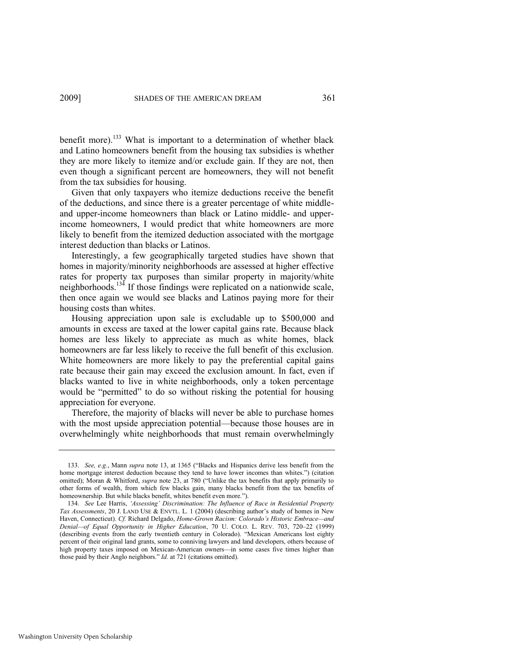benefit more).<sup>133</sup> What is important to a determination of whether black and Latino homeowners benefit from the housing tax subsidies is whether they are more likely to itemize and/or exclude gain. If they are not, then even though a significant percent are homeowners, they will not benefit from the tax subsidies for housing.

Given that only taxpayers who itemize deductions receive the benefit of the deductions, and since there is a greater percentage of white middleand upper-income homeowners than black or Latino middle- and upperincome homeowners, I would predict that white homeowners are more likely to benefit from the itemized deduction associated with the mortgage interest deduction than blacks or Latinos.

Interestingly, a few geographically targeted studies have shown that homes in majority/minority neighborhoods are assessed at higher effective rates for property tax purposes than similar property in majority/white neighborhoods.<sup>134</sup> If those findings were replicated on a nationwide scale, then once again we would see blacks and Latinos paying more for their housing costs than whites.

Housing appreciation upon sale is excludable up to \$500,000 and amounts in excess are taxed at the lower capital gains rate. Because black homes are less likely to appreciate as much as white homes, black homeowners are far less likely to receive the full benefit of this exclusion. White homeowners are more likely to pay the preferential capital gains rate because their gain may exceed the exclusion amount. In fact, even if blacks wanted to live in white neighborhoods, only a token percentage would be "permitted" to do so without risking the potential for housing appreciation for everyone.

Therefore, the majority of blacks will never be able to purchase homes with the most upside appreciation potential—because those houses are in overwhelmingly white neighborhoods that must remain overwhelmingly

<sup>133.</sup> *See, e.g.*, Mann *supra* note [13,](#page-5-0) at 1365 ("Blacks and Hispanics derive less benefit from the home mortgage interest deduction because they tend to have lower incomes than whites.") (citation omitted); Moran & Whitford, *supra* not[e 23,](#page-7-0) at 780 ("Unlike the tax benefits that apply primarily to other forms of wealth, from which few blacks gain, many blacks benefit from the tax benefits of homeownership. But while blacks benefit, whites benefit even more.").

<sup>134.</sup> *See* Lee Harris, *‗Assessing' Discrimination: The Influence of Race in Residential Property Tax Assessments*, 20 J. LAND USE & ENVTL. L. 1 (2004) (describing author's study of homes in New Haven, Connecticut). *Cf.* Richard Delgado, *Home-Grown Racism: Colorado's Historic Embrace—and Denial—of Equal Opportunity in Higher Education*, 70 U. COLO. L. REV. 703, 720–22 (1999) (describing events from the early twentieth century in Colorado). "Mexican Americans lost eighty percent of their original land grants, some to conniving lawyers and land developers, others because of high property taxes imposed on Mexican-American owners—in some cases five times higher than those paid by their Anglo neighbors." *Id.* at 721 (citations omitted).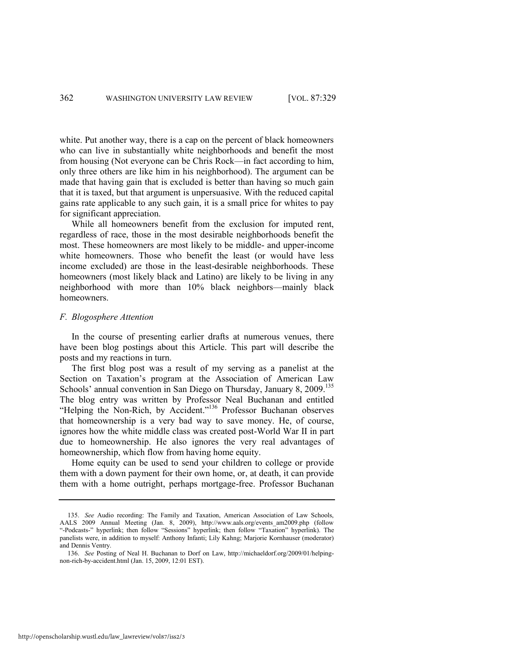white. Put another way, there is a cap on the percent of black homeowners who can live in substantially white neighborhoods and benefit the most from housing (Not everyone can be Chris Rock—in fact according to him, only three others are like him in his neighborhood). The argument can be made that having gain that is excluded is better than having so much gain that it is taxed, but that argument is unpersuasive. With the reduced capital gains rate applicable to any such gain, it is a small price for whites to pay for significant appreciation.

While all homeowners benefit from the exclusion for imputed rent, regardless of race, those in the most desirable neighborhoods benefit the most. These homeowners are most likely to be middle- and upper-income white homeowners. Those who benefit the least (or would have less income excluded) are those in the least-desirable neighborhoods. These homeowners (most likely black and Latino) are likely to be living in any neighborhood with more than 10% black neighbors—mainly black homeowners.

## *F. Blogosphere Attention*

In the course of presenting earlier drafts at numerous venues, there have been blog postings about this Article. This part will describe the posts and my reactions in turn.

The first blog post was a result of my serving as a panelist at the Section on Taxation's program at the Association of American Law Schools' annual convention in San Diego on Thursday, January 8, 2009.<sup>135</sup> The blog entry was written by Professor Neal Buchanan and entitled ―Helping the Non-Rich, by Accident.‖<sup>136</sup> Professor Buchanan observes that homeownership is a very bad way to save money. He, of course, ignores how the white middle class was created post-World War II in part due to homeownership. He also ignores the very real advantages of homeownership, which flow from having home equity.

Home equity can be used to send your children to college or provide them with a down payment for their own home, or, at death, it can provide them with a home outright, perhaps mortgage-free. Professor Buchanan

<sup>135.</sup> *See* Audio recording: The Family and Taxation, American Association of Law Schools, AALS 2009 Annual Meeting (Jan. 8, 2009), http://www.aals.org/events\_am2009.php (follow ―-Podcasts-‖ hyperlink; then follow ―Sessions‖ hyperlink; then follow ―Taxation‖ hyperlink). The panelists were, in addition to myself: Anthony Infanti; Lily Kahng; Marjorie Kornhauser (moderator) and Dennis Ventry.

<sup>136.</sup> *See* Posting of Neal H. Buchanan to Dorf on Law, http://michaeldorf.org/2009/01/helpingnon-rich-by-accident.html (Jan. 15, 2009, 12:01 EST).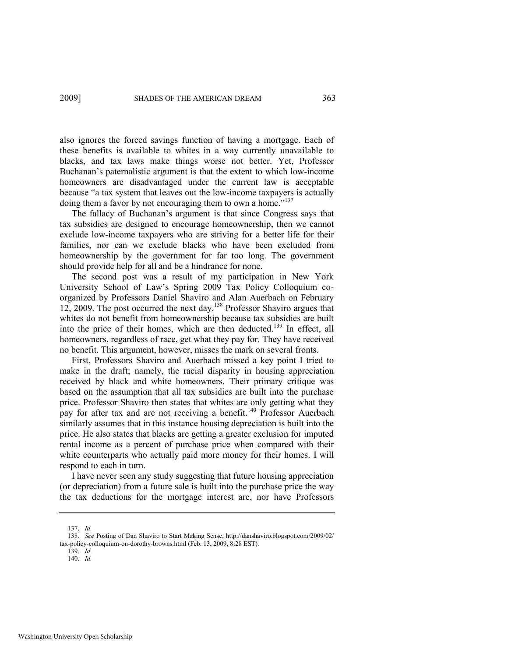also ignores the forced savings function of having a mortgage. Each of these benefits is available to whites in a way currently unavailable to blacks, and tax laws make things worse not better. Yet, Professor Buchanan's paternalistic argument is that the extent to which low-income homeowners are disadvantaged under the current law is acceptable because "a tax system that leaves out the low-income taxpayers is actually doing them a favor by not encouraging them to own a home." $137$ 

The fallacy of Buchanan's argument is that since Congress says that tax subsidies are designed to encourage homeownership, then we cannot exclude low-income taxpayers who are striving for a better life for their families, nor can we exclude blacks who have been excluded from homeownership by the government for far too long. The government should provide help for all and be a hindrance for none.

The second post was a result of my participation in New York University School of Law's Spring 2009 Tax Policy Colloquium coorganized by Professors Daniel Shaviro and Alan Auerbach on February 12, 2009. The post occurred the next day.<sup>138</sup> Professor Shaviro argues that whites do not benefit from homeownership because tax subsidies are built into the price of their homes, which are then deducted.<sup>139</sup> In effect, all homeowners, regardless of race, get what they pay for. They have received no benefit. This argument, however, misses the mark on several fronts.

First, Professors Shaviro and Auerbach missed a key point I tried to make in the draft; namely, the racial disparity in housing appreciation received by black and white homeowners. Their primary critique was based on the assumption that all tax subsidies are built into the purchase price. Professor Shaviro then states that whites are only getting what they pay for after tax and are not receiving a benefit.<sup>140</sup> Professor Auerbach similarly assumes that in this instance housing depreciation is built into the price. He also states that blacks are getting a greater exclusion for imputed rental income as a percent of purchase price when compared with their white counterparts who actually paid more money for their homes. I will respond to each in turn.

I have never seen any study suggesting that future housing appreciation (or depreciation) from a future sale is built into the purchase price the way the tax deductions for the mortgage interest are, nor have Professors

<sup>137.</sup> *Id.* 

<sup>138.</sup> *See* Posting of Dan Shaviro to Start Making Sense, http://danshaviro.blogspot.com/2009/02/ tax-policy-colloquium-on-dorothy-browns.html (Feb. 13, 2009, 8:28 EST).

<sup>139.</sup> *Id.*

<sup>140.</sup> *Id.*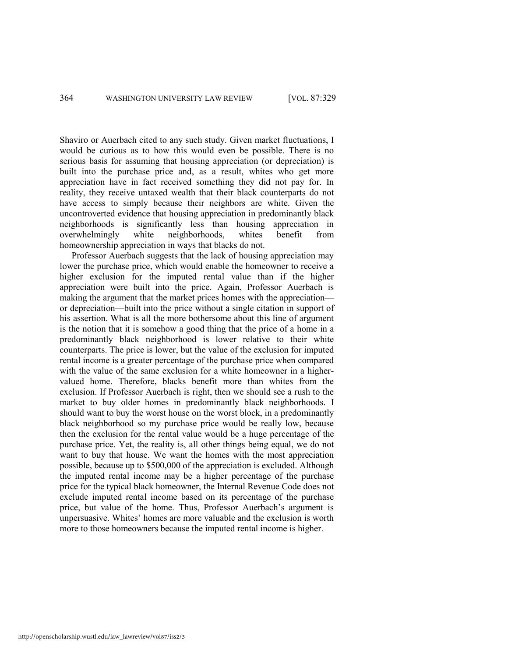Shaviro or Auerbach cited to any such study. Given market fluctuations, I would be curious as to how this would even be possible. There is no serious basis for assuming that housing appreciation (or depreciation) is built into the purchase price and, as a result, whites who get more appreciation have in fact received something they did not pay for. In reality, they receive untaxed wealth that their black counterparts do not have access to simply because their neighbors are white. Given the uncontroverted evidence that housing appreciation in predominantly black neighborhoods is significantly less than housing appreciation in overwhelmingly white neighborhoods, whites benefit from homeownership appreciation in ways that blacks do not.

Professor Auerbach suggests that the lack of housing appreciation may lower the purchase price, which would enable the homeowner to receive a higher exclusion for the imputed rental value than if the higher appreciation were built into the price. Again, Professor Auerbach is making the argument that the market prices homes with the appreciation or depreciation—built into the price without a single citation in support of his assertion. What is all the more bothersome about this line of argument is the notion that it is somehow a good thing that the price of a home in a predominantly black neighborhood is lower relative to their white counterparts. The price is lower, but the value of the exclusion for imputed rental income is a greater percentage of the purchase price when compared with the value of the same exclusion for a white homeowner in a highervalued home. Therefore, blacks benefit more than whites from the exclusion. If Professor Auerbach is right, then we should see a rush to the market to buy older homes in predominantly black neighborhoods. I should want to buy the worst house on the worst block, in a predominantly black neighborhood so my purchase price would be really low, because then the exclusion for the rental value would be a huge percentage of the purchase price. Yet, the reality is, all other things being equal, we do not want to buy that house. We want the homes with the most appreciation possible, because up to \$500,000 of the appreciation is excluded. Although the imputed rental income may be a higher percentage of the purchase price for the typical black homeowner, the Internal Revenue Code does not exclude imputed rental income based on its percentage of the purchase price, but value of the home. Thus, Professor Auerbach's argument is unpersuasive. Whites' homes are more valuable and the exclusion is worth more to those homeowners because the imputed rental income is higher.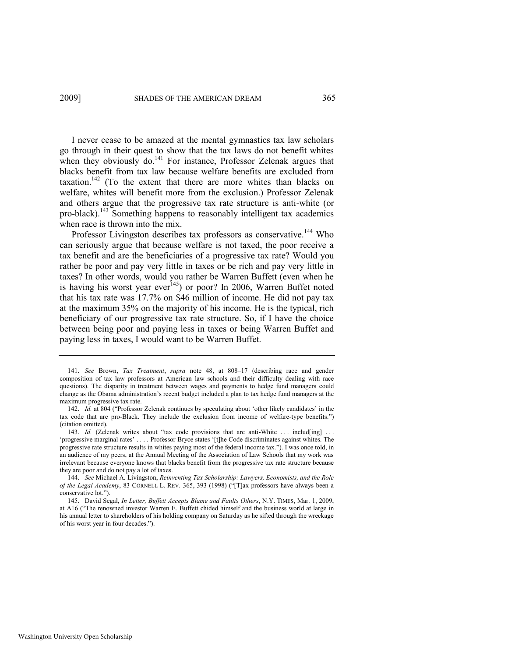I never cease to be amazed at the mental gymnastics tax law scholars go through in their quest to show that the tax laws do not benefit whites when they obviously do.<sup>141</sup> For instance, Professor Zelenak argues that blacks benefit from tax law because welfare benefits are excluded from taxation.<sup>142</sup> (To the extent that there are more whites than blacks on welfare, whites will benefit more from the exclusion.) Professor Zelenak and others argue that the progressive tax rate structure is anti-white (or pro-black).<sup>143</sup> Something happens to reasonably intelligent tax academics when race is thrown into the mix.

Professor Livingston describes tax professors as conservative.<sup>144</sup> Who can seriously argue that because welfare is not taxed, the poor receive a tax benefit and are the beneficiaries of a progressive tax rate? Would you rather be poor and pay very little in taxes or be rich and pay very little in taxes? In other words, would you rather be Warren Buffett (even when he is having his worst year ever<sup>145</sup>) or poor? In 2006, Warren Buffet noted that his tax rate was 17.7% on \$46 million of income. He did not pay tax at the maximum 35% on the majority of his income. He is the typical, rich beneficiary of our progressive tax rate structure. So, if I have the choice between being poor and paying less in taxes or being Warren Buffet and paying less in taxes, I would want to be Warren Buffet.

<sup>141.</sup> *See* Brown, *Tax Treatment*, *supra* note [48,](#page-13-0) at 808–17 (describing race and gender composition of tax law professors at American law schools and their difficulty dealing with race questions). The disparity in treatment between wages and payments to hedge fund managers could change as the Obama administration's recent budget included a plan to tax hedge fund managers at the maximum progressive tax rate.

<sup>142.</sup> *Id.* at 804 ("Professor Zelenak continues by speculating about 'other likely candidates' in the tax code that are pro-Black. They include the exclusion from income of welfare-type benefits.") (citation omitted).

<sup>143.</sup> *Id.* (Zelenak writes about "tax code provisions that are anti-White ... includ[ing] ... ‗progressive marginal rates' . . . . Professor Bryce states ‗[t]he Code discriminates against whites. The progressive rate structure results in whites paying most of the federal income tax.‖). I was once told, in an audience of my peers, at the Annual Meeting of the Association of Law Schools that my work was irrelevant because everyone knows that blacks benefit from the progressive tax rate structure because they are poor and do not pay a lot of taxes.

<sup>144.</sup> *See* Michael A. Livingston, *Reinventing Tax Scholarship: Lawyers, Economists, and the Role of the Legal Academy*, 83 CORNELL L. REV. 365, 393 (1998) ("[T]ax professors have always been a conservative lot.").

<sup>145.</sup> David Segal, *In Letter, Buffett Accepts Blame and Faults Others*, N.Y. TIMES, Mar. 1, 2009, at A16 ("The renowned investor Warren E. Buffett chided himself and the business world at large in his annual letter to shareholders of his holding company on Saturday as he sifted through the wreckage of his worst year in four decades.").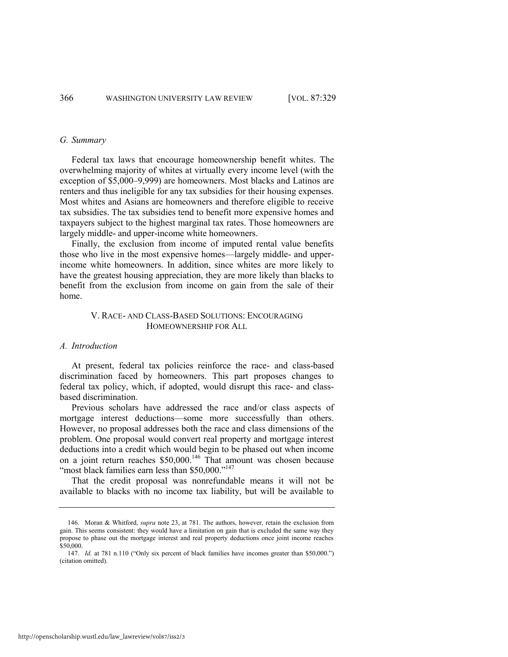#### *G. Summary*

Federal tax laws that encourage homeownership benefit whites. The overwhelming majority of whites at virtually every income level (with the exception of \$5,000–9,999) are homeowners. Most blacks and Latinos are renters and thus ineligible for any tax subsidies for their housing expenses. Most whites and Asians are homeowners and therefore eligible to receive tax subsidies. The tax subsidies tend to benefit more expensive homes and taxpayers subject to the highest marginal tax rates. Those homeowners are largely middle- and upper-income white homeowners.

Finally, the exclusion from income of imputed rental value benefits those who live in the most expensive homes—largely middle- and upperincome white homeowners. In addition, since whites are more likely to have the greatest housing appreciation, they are more likely than blacks to benefit from the exclusion from income on gain from the sale of their home.

# V. RACE- AND CLASS-BASED SOLUTIONS: ENCOURAGING HOMEOWNERSHIP FOR ALL

## *A. Introduction*

At present, federal tax policies reinforce the race- and class-based discrimination faced by homeowners. This part proposes changes to federal tax policy, which, if adopted, would disrupt this race- and classbased discrimination.

Previous scholars have addressed the race and/or class aspects of mortgage interest deductions—some more successfully than others. However, no proposal addresses both the race and class dimensions of the problem. One proposal would convert real property and mortgage interest deductions into a credit which would begin to be phased out when income on a joint return reaches  $$50,000$ .<sup>146</sup> That amount was chosen because "most black families earn less than \$50,000."<sup>147</sup>

That the credit proposal was nonrefundable means it will not be available to blacks with no income tax liability, but will be available to

<sup>146.</sup> Moran & Whitford, *supra* not[e 23,](#page-7-0) at 781. The authors, however, retain the exclusion from gain. This seems consistent: they would have a limitation on gain that is excluded the same way they propose to phase out the mortgage interest and real property deductions once joint income reaches \$50,000.

<sup>147.</sup> *Id.* at 781 n.110 ("Only six percent of black families have incomes greater than \$50,000.") (citation omitted).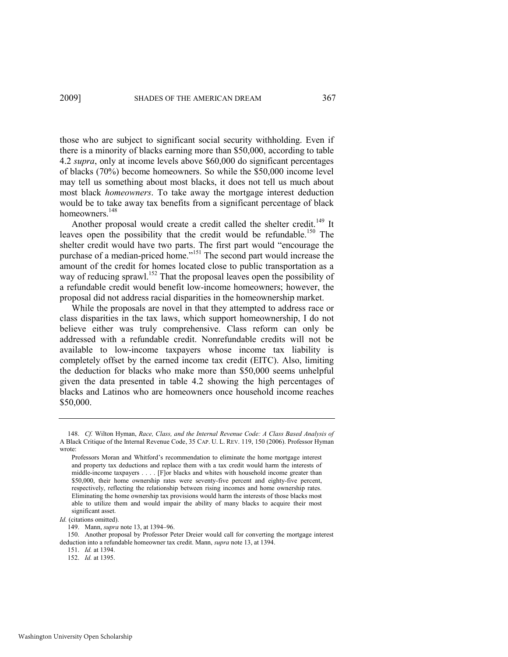those who are subject to significant social security withholding. Even if there is a minority of blacks earning more than \$50,000, according to table 4.2 *supra*, only at income levels above \$60,000 do significant percentages of blacks (70%) become homeowners. So while the \$50,000 income level may tell us something about most blacks, it does not tell us much about most black *homeowners*. To take away the mortgage interest deduction would be to take away tax benefits from a significant percentage of black homeowners.<sup>148</sup>

Another proposal would create a credit called the shelter credit.<sup>149</sup> It leaves open the possibility that the credit would be refundable.<sup>150</sup> The shelter credit would have two parts. The first part would "encourage the purchase of a median-priced home."<sup>151</sup> The second part would increase the amount of the credit for homes located close to public transportation as a way of reducing sprawl.<sup>152</sup> That the proposal leaves open the possibility of a refundable credit would benefit low-income homeowners; however, the proposal did not address racial disparities in the homeownership market.

While the proposals are novel in that they attempted to address race or class disparities in the tax laws, which support homeownership, I do not believe either was truly comprehensive. Class reform can only be addressed with a refundable credit. Nonrefundable credits will not be available to low-income taxpayers whose income tax liability is completely offset by the earned income tax credit (EITC). Also, limiting the deduction for blacks who make more than \$50,000 seems unhelpful given the data presented in table 4.2 showing the high percentages of blacks and Latinos who are homeowners once household income reaches \$50,000.

*Id.* (citations omitted).

149. Mann, *supra* not[e 13,](#page-5-0) at 1394–96.

150. Another proposal by Professor Peter Dreier would call for converting the mortgage interest deduction into a refundable homeowner tax credit. Mann, *supra* not[e 13,](#page-5-0) at 1394.

151. *Id.* at 1394.

152. *Id.* at 1395.

<sup>148.</sup> *Cf.* Wilton Hyman, *Race, Class, and the Internal Revenue Code: A Class Based Analysis of*  A Black Critique of the Internal Revenue Code, 35 CAP. U. L. REV. 119, 150 (2006). Professor Hyman wrote:

Professors Moran and Whitford's recommendation to eliminate the home mortgage interest and property tax deductions and replace them with a tax credit would harm the interests of middle-income taxpayers . . . . [F]or blacks and whites with household income greater than \$50,000, their home ownership rates were seventy-five percent and eighty-five percent, respectively, reflecting the relationship between rising incomes and home ownership rates. Eliminating the home ownership tax provisions would harm the interests of those blacks most able to utilize them and would impair the ability of many blacks to acquire their most significant asset.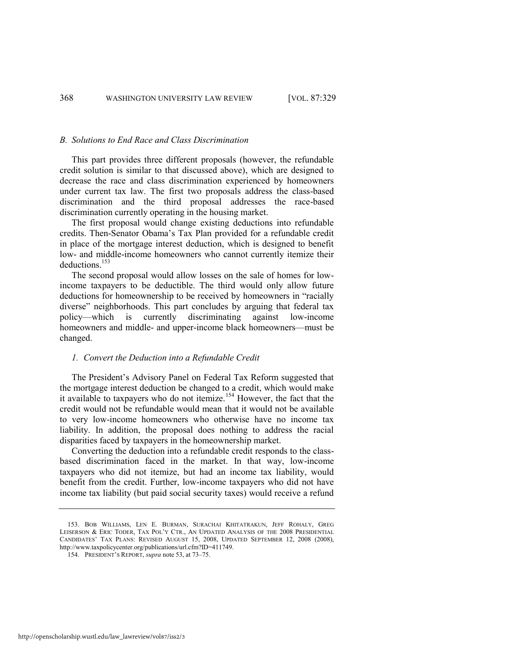#### *B. Solutions to End Race and Class Discrimination*

This part provides three different proposals (however, the refundable credit solution is similar to that discussed above), which are designed to decrease the race and class discrimination experienced by homeowners under current tax law. The first two proposals address the class-based discrimination and the third proposal addresses the race-based discrimination currently operating in the housing market.

The first proposal would change existing deductions into refundable credits. Then-Senator Obama's Tax Plan provided for a refundable credit in place of the mortgage interest deduction, which is designed to benefit low- and middle-income homeowners who cannot currently itemize their deductions.<sup>153</sup>

The second proposal would allow losses on the sale of homes for lowincome taxpayers to be deductible. The third would only allow future deductions for homeownership to be received by homeowners in "racially diverse" neighborhoods. This part concludes by arguing that federal tax policy—which is currently discriminating against low-income homeowners and middle- and upper-income black homeowners—must be changed.

## *1. Convert the Deduction into a Refundable Credit*

The President's Advisory Panel on Federal Tax Reform suggested that the mortgage interest deduction be changed to a credit, which would make it available to taxpayers who do not itemize.<sup>154</sup> However, the fact that the credit would not be refundable would mean that it would not be available to very low-income homeowners who otherwise have no income tax liability. In addition, the proposal does nothing to address the racial disparities faced by taxpayers in the homeownership market.

Converting the deduction into a refundable credit responds to the classbased discrimination faced in the market. In that way, low-income taxpayers who did not itemize, but had an income tax liability, would benefit from the credit. Further, low-income taxpayers who did not have income tax liability (but paid social security taxes) would receive a refund

<sup>153.</sup> BOB WILLIAMS, LEN E. BURMAN, SURACHAI KHITATRAKUN, JEFF ROHALY, GREG LEISERSON & ERIC TODER, TAX POL'Y CTR., AN UPDATED ANALYSIS OF THE 2008 PRESIDENTIAL CANDIDATES' TAX PLANS: REVISED AUGUST 15, 2008, UPDATED SEPTEMBER 12, 2008 (2008), http://www.taxpolicycenter.org/publications/url.cfm?ID=411749.

<sup>154.</sup> PRESIDENT'S REPORT, *supra* not[e 53,](#page-15-0) at 73–75.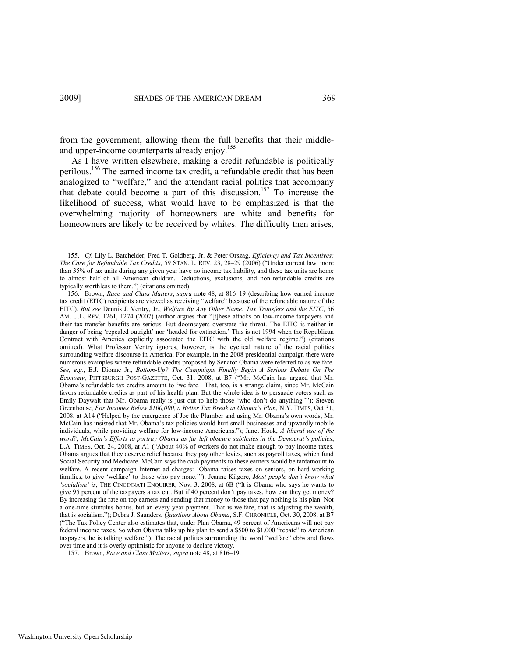from the government, allowing them the full benefits that their middleand upper-income counterparts already enjoy.<sup>155</sup>

As I have written elsewhere, making a credit refundable is politically perilous.<sup>156</sup> The earned income tax credit, a refundable credit that has been analogized to "welfare," and the attendant racial politics that accompany that debate could become a part of this discussion.<sup>157</sup> To increase the likelihood of success, what would have to be emphasized is that the overwhelming majority of homeowners are white and benefits for homeowners are likely to be received by whites. The difficulty then arises,

<sup>155.</sup> *Cf.* Lily L. Batchelder, Fred T. Goldberg, Jr. & Peter Orszag, *Efficiency and Tax Incentives: The Case for Refundable Tax Credits*, 59 STAN, L. REV. 23, 28–29 (2006) ("Under current law, more than 35% of tax units during any given year have no income tax liability, and these tax units are home to almost half of all American children. Deductions, exclusions, and non-refundable credits are typically worthless to them.") (citations omitted).

<sup>156.</sup> Brown, *Race and Class Matters*, *supra* note [48,](#page-13-0) at 816–19 (describing how earned income tax credit (EITC) recipients are viewed as receiving "welfare" because of the refundable nature of the EITC). *But see* Dennis J. Ventry, Jr., *Welfare By Any Other Name: Tax Transfers and the EITC*, 56 AM. U.L. REV. 1261, 1274 (2007) (author argues that "[t]hese attacks on low-income taxpayers and their tax-transfer benefits are serious. But doomsayers overstate the threat. The EITC is neither in danger of being 'repealed outright' nor 'headed for extinction.' This is not 1994 when the Republican Contract with America explicitly associated the EITC with the old welfare regime.") (citations omitted). What Professor Ventry ignores, however, is the cyclical nature of the racial politics surrounding welfare discourse in America. For example, in the 2008 presidential campaign there were numerous examples where refundable credits proposed by Senator Obama were referred to as welfare. *See, e.g.*, E.J. Dionne Jr., *Bottom-Up? The Campaigns Finally Begin A Serious Debate On The Economy*, PITTSBURGH POST-GAZETTE, Oct. 31, 2008, at B7 ("Mr. McCain has argued that Mr. Obama's refundable tax credits amount to 'welfare.' That, too, is a strange claim, since Mr. McCain favors refundable credits as part of his health plan. But the whole idea is to persuade voters such as Emily Daywalt that Mr. Obama really is just out to help those 'who don't do anything.'"); Steven Greenhouse, *For Incomes Below \$100,000, a Better Tax Break in Obama's Plan*, N.Y. TIMES, Oct 31, 2008, at A14 ("Helped by the emergence of Joe the Plumber and using Mr. Obama's own words, Mr. McCain has insisted that Mr. Obama's tax policies would hurt small businesses and upwardly mobile individuals, while providing welfare for low-income Americans."); Janet Hook, *A liberal use of the word?; McCain's Efforts to portray Obama as far left obscure subtleties in the Democrat's policies*, L.A. TIMES, Oct. 24, 2008, at A1 ("About 40% of workers do not make enough to pay income taxes. Obama argues that they deserve relief because they pay other levies, such as payroll taxes, which fund Social Security and Medicare. McCain says the cash payments to these earners would be tantamount to welfare. A recent campaign Internet ad charges: 'Obama raises taxes on seniors, on hard-working families, to give 'welfare' to those who pay none.'"); Jeanne Kilgore, *Most people don't know what ‗socialism' is*, THE CINCINNATI ENQUIRER, Nov. 3, 2008, at 6B (―It is Obama who says he wants to give 95 percent of the taxpayers a tax cut. But if 40 percent don't pay taxes, how can they get money? By increasing the rate on top earners and sending that money to those that pay nothing is his plan. Not a one-time stimulus bonus, but an every year payment. That is welfare, that is adjusting the wealth, that is socialism."); Debra J. Saunders, *Questions About Obama*, S.F. CHRONICLE, Oct. 30, 2008, at B7 (―The Tax Policy Center also estimates that, under Plan Obama**,** 49 percent of Americans will not pay federal income taxes. So when Obama talks up his plan to send a  $$500$  to  $$1,000$  "rebate" to American taxpayers, he is talking welfare."). The racial politics surrounding the word "welfare" ebbs and flows over time and it is overly optimistic for anyone to declare victory.

<sup>157.</sup> Brown, *Race and Class Matters*, *supra* not[e 48,](#page-13-0) at 816–19.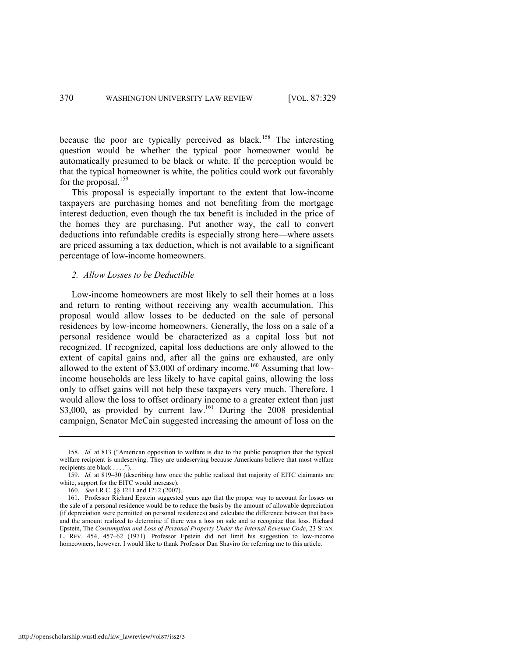because the poor are typically perceived as black.<sup>158</sup> The interesting question would be whether the typical poor homeowner would be automatically presumed to be black or white. If the perception would be that the typical homeowner is white, the politics could work out favorably for the proposal.<sup>159</sup>

This proposal is especially important to the extent that low-income taxpayers are purchasing homes and not benefiting from the mortgage interest deduction, even though the tax benefit is included in the price of the homes they are purchasing. Put another way, the call to convert deductions into refundable credits is especially strong here—where assets are priced assuming a tax deduction, which is not available to a significant percentage of low-income homeowners.

## *2. Allow Losses to be Deductible*

Low-income homeowners are most likely to sell their homes at a loss and return to renting without receiving any wealth accumulation. This proposal would allow losses to be deducted on the sale of personal residences by low-income homeowners. Generally, the loss on a sale of a personal residence would be characterized as a capital loss but not recognized. If recognized, capital loss deductions are only allowed to the extent of capital gains and, after all the gains are exhausted, are only allowed to the extent of \$3,000 of ordinary income.<sup>160</sup> Assuming that lowincome households are less likely to have capital gains, allowing the loss only to offset gains will not help these taxpayers very much. Therefore, I would allow the loss to offset ordinary income to a greater extent than just \$3,000, as provided by current law.<sup>161</sup> During the 2008 presidential campaign, Senator McCain suggested increasing the amount of loss on the

<sup>158.</sup> *Id.* at 813 ("American opposition to welfare is due to the public perception that the typical welfare recipient is undeserving. They are undeserving because Americans believe that most welfare recipients are black . . . .").

<sup>159.</sup> *Id.* at 819–30 (describing how once the public realized that majority of EITC claimants are white, support for the EITC would increase).

<sup>160.</sup> *See* I.R.C. §§ 1211 and 1212 (2007).

<sup>161.</sup> Professor Richard Epstein suggested years ago that the proper way to account for losses on the sale of a personal residence would be to reduce the basis by the amount of allowable depreciation (if depreciation were permitted on personal residences) and calculate the difference between that basis and the amount realized to determine if there was a loss on sale and to recognize that loss. Richard Epstein, The *Consumption and Loss of Personal Property Under the Internal Revenue Code*, 23 STAN. L. REV. 454, 457–62 (1971). Professor Epstein did not limit his suggestion to low-income homeowners, however. I would like to thank Professor Dan Shaviro for referring me to this article.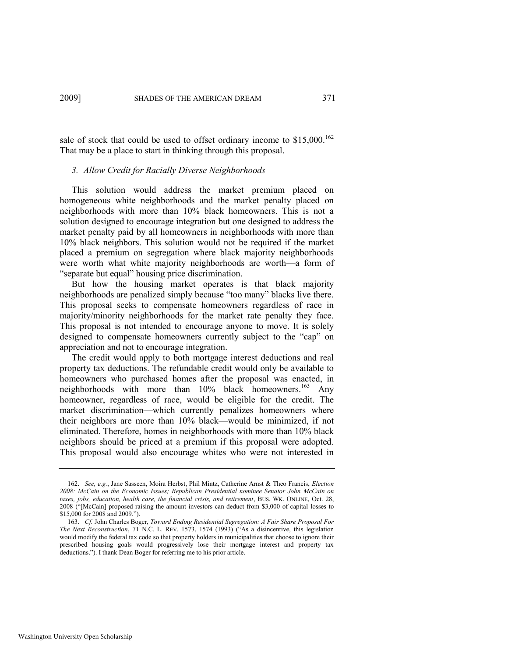sale of stock that could be used to offset ordinary income to  $$15,000$ .<sup>162</sup> That may be a place to start in thinking through this proposal.

## *3. Allow Credit for Racially Diverse Neighborhoods*

This solution would address the market premium placed on homogeneous white neighborhoods and the market penalty placed on neighborhoods with more than 10% black homeowners. This is not a solution designed to encourage integration but one designed to address the market penalty paid by all homeowners in neighborhoods with more than 10% black neighbors. This solution would not be required if the market placed a premium on segregation where black majority neighborhoods were worth what white majority neighborhoods are worth—a form of "separate but equal" housing price discrimination.

But how the housing market operates is that black majority neighborhoods are penalized simply because "too many" blacks live there. This proposal seeks to compensate homeowners regardless of race in majority/minority neighborhoods for the market rate penalty they face. This proposal is not intended to encourage anyone to move. It is solely designed to compensate homeowners currently subject to the "cap" on appreciation and not to encourage integration.

The credit would apply to both mortgage interest deductions and real property tax deductions. The refundable credit would only be available to homeowners who purchased homes after the proposal was enacted, in neighborhoods with more than  $10\%$  black homeowners.<sup>163</sup> Any homeowner, regardless of race, would be eligible for the credit. The market discrimination—which currently penalizes homeowners where their neighbors are more than 10% black—would be minimized, if not eliminated. Therefore, homes in neighborhoods with more than 10% black neighbors should be priced at a premium if this proposal were adopted. This proposal would also encourage whites who were not interested in

<sup>162.</sup> *See, e.g.*, Jane Sasseen, Moira Herbst, Phil Mintz, Catherine Arnst & Theo Francis, *Election 2008: McCain on the Economic Issues; Republican Presidential nominee Senator John McCain on taxes, jobs, education, health care, the financial crisis, and retirement*, BUS. WK. ONLINE, Oct. 28, 2008 ("[McCain] proposed raising the amount investors can deduct from \$3,000 of capital losses to \$15,000 for 2008 and 2009.").

<sup>163.</sup> *Cf.* John Charles Boger, *Toward Ending Residential Segregation: A Fair Share Proposal For The Next Reconstruction*, 71 N.C. L. REV. 1573, 1574 (1993) ("As a disincentive, this legislation would modify the federal tax code so that property holders in municipalities that choose to ignore their prescribed housing goals would progressively lose their mortgage interest and property tax deductions."). I thank Dean Boger for referring me to his prior article.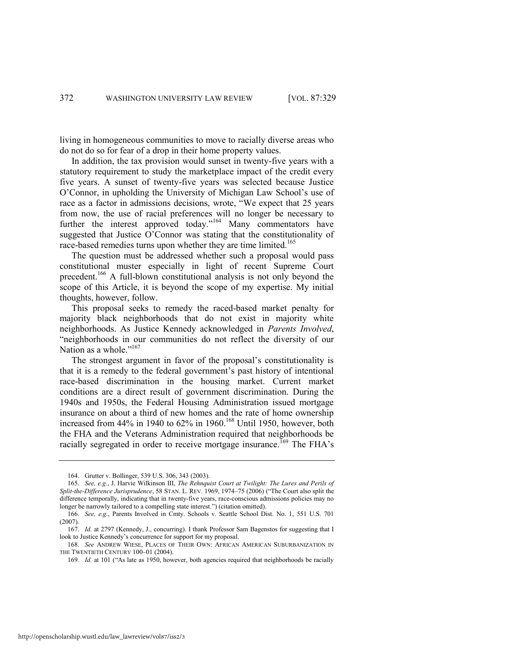living in homogeneous communities to move to racially diverse areas who do not do so for fear of a drop in their home property values.

In addition, the tax provision would sunset in twenty-five years with a statutory requirement to study the marketplace impact of the credit every five years. A sunset of twenty-five years was selected because Justice O'Connor, in upholding the University of Michigan Law School's use of race as a factor in admissions decisions, wrote, "We expect that 25 years from now, the use of racial preferences will no longer be necessary to further the interest approved today."<sup>164</sup> Many commentators have suggested that Justice O'Connor was stating that the constitutionality of race-based remedies turns upon whether they are time limited.<sup>165</sup>

The question must be addressed whether such a proposal would pass constitutional muster especially in light of recent Supreme Court precedent.<sup>166</sup> A full-blown constitutional analysis is not only beyond the scope of this Article, it is beyond the scope of my expertise. My initial thoughts, however, follow.

This proposal seeks to remedy the raced-based market penalty for majority black neighborhoods that do not exist in majority white neighborhoods. As Justice Kennedy acknowledged in *Parents Involved*, "neighborhoods in our communities do not reflect the diversity of our Nation as a whole."<sup>167</sup>

The strongest argument in favor of the proposal's constitutionality is that it is a remedy to the federal government's past history of intentional race-based discrimination in the housing market. Current market conditions are a direct result of government discrimination. During the 1940s and 1950s, the Federal Housing Administration issued mortgage insurance on about a third of new homes and the rate of home ownership increased from  $44\%$  in 1940 to  $62\%$  in 1960.<sup>168</sup> Until 1950, however, both the FHA and the Veterans Administration required that neighborhoods be racially segregated in order to receive mortgage insurance.<sup>169</sup> The FHA's

<span id="page-44-0"></span><sup>164.</sup> Grutter v. Bollinger, 539 U.S. 306, 343 (2003).

<sup>165.</sup> *See, e.g.*, J. Harvie Wilkinson III, *The Rehnquist Court at Twilight: The Lures and Perils of*  Split-the-Difference Jurisprudence, 58 STAN. L. REV. 1969, 1974–75 (2006) ("The Court also split the difference temporally, indicating that in twenty-five years, race-conscious admissions policies may no longer be narrowly tailored to a compelling state interest.") (citation omitted).

<sup>166.</sup> *See, e.g.*, Parents Involved in Cmty. Schools v. Seattle School Dist. No. 1, 551 U.S. 701 (2007).

<sup>167.</sup> *Id.* at 2797 (Kennedy, J., concurring). I thank Professor Sam Bagenstos for suggesting that I look to Justice Kennedy's concurrence for support for my proposal.

<sup>168.</sup> *See* ANDREW WIESE, PLACES OF THEIR OWN: AFRICAN AMERICAN SUBURBANIZATION IN THE TWENTIETH CENTURY 100-01 (2004).

<sup>169.</sup> *Id.* at 101 ("As late as 1950, however, both agencies required that neighborhoods be racially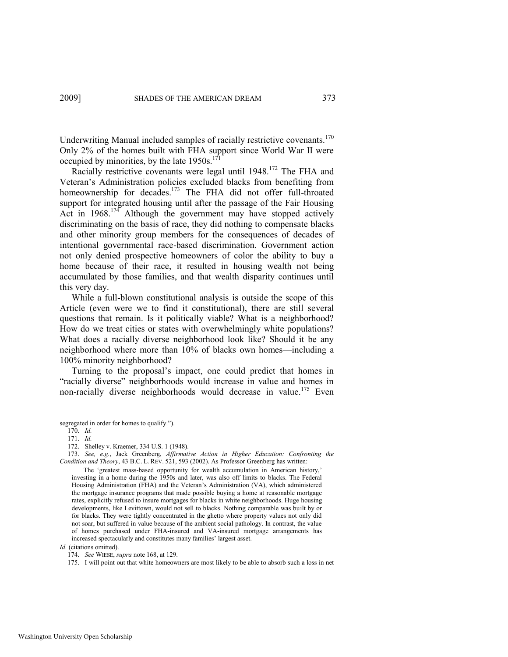Underwriting Manual included samples of racially restrictive covenants.<sup>170</sup> Only 2% of the homes built with FHA support since World War II were occupied by minorities, by the late  $1950s$ .<sup>171</sup>

Racially restrictive covenants were legal until 1948.<sup>172</sup> The FHA and Veteran's Administration policies excluded blacks from benefiting from homeownership for decades.<sup>173</sup> The FHA did not offer full-throated support for integrated housing until after the passage of the Fair Housing Act in  $1968$ .<sup>174</sup> Although the government may have stopped actively discriminating on the basis of race, they did nothing to compensate blacks and other minority group members for the consequences of decades of intentional governmental race-based discrimination. Government action not only denied prospective homeowners of color the ability to buy a home because of their race, it resulted in housing wealth not being accumulated by those families, and that wealth disparity continues until this very day.

While a full-blown constitutional analysis is outside the scope of this Article (even were we to find it constitutional), there are still several questions that remain. Is it politically viable? What is a neighborhood? How do we treat cities or states with overwhelmingly white populations? What does a racially diverse neighborhood look like? Should it be any neighborhood where more than 10% of blacks own homes—including a 100% minority neighborhood?

Turning to the proposal's impact, one could predict that homes in "racially diverse" neighborhoods would increase in value and homes in non-racially diverse neighborhoods would decrease in value.<sup>175</sup> Even

*Id.* (citations omitted).

segregated in order for homes to qualify.").

<sup>170.</sup> *Id.*

<sup>171.</sup> *Id.*

<sup>172.</sup> Shelley v. Kraemer, 334 U.S. 1 (1948).

<sup>173.</sup> *See, e.g.*, Jack Greenberg, *Affirmative Action in Higher Education: Confronting the Condition and Theory*, 43 B.C. L. REV. 521, 593 (2002). As Professor Greenberg has written:

The 'greatest mass-based opportunity for wealth accumulation in American history,' investing in a home during the 1950s and later, was also off limits to blacks. The Federal Housing Administration (FHA) and the Veteran's Administration (VA), which administered the mortgage insurance programs that made possible buying a home at reasonable mortgage rates, explicitly refused to insure mortgages for blacks in white neighborhoods. Huge housing developments, like Levittown, would not sell to blacks. Nothing comparable was built by or for blacks. They were tightly concentrated in the ghetto where property values not only did not soar, but suffered in value because of the ambient social pathology. In contrast, the value of homes purchased under FHA-insured and VA-insured mortgage arrangements has increased spectacularly and constitutes many families' largest asset.

<sup>174.</sup> *See* WIESE, *supra* not[e 168,](#page-44-0) at 129.

<sup>175.</sup> I will point out that white homeowners are most likely to be able to absorb such a loss in net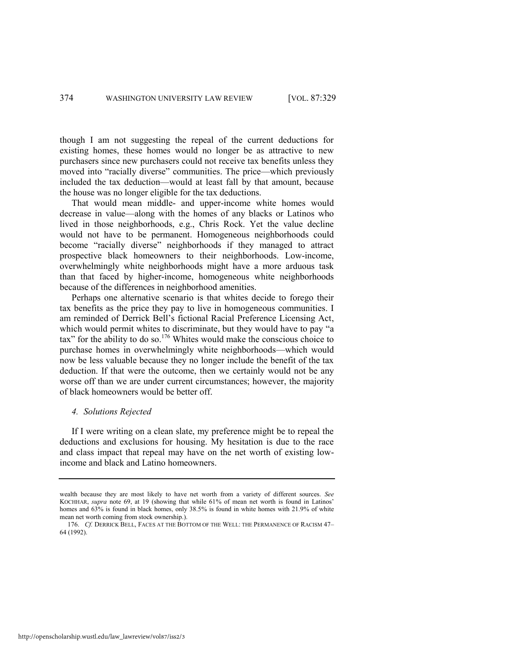though I am not suggesting the repeal of the current deductions for existing homes, these homes would no longer be as attractive to new purchasers since new purchasers could not receive tax benefits unless they moved into "racially diverse" communities. The price—which previously included the tax deduction—would at least fall by that amount, because the house was no longer eligible for the tax deductions.

That would mean middle- and upper-income white homes would decrease in value—along with the homes of any blacks or Latinos who lived in those neighborhoods, e.g., Chris Rock. Yet the value decline would not have to be permanent. Homogeneous neighborhoods could become "racially diverse" neighborhoods if they managed to attract prospective black homeowners to their neighborhoods. Low-income, overwhelmingly white neighborhoods might have a more arduous task than that faced by higher-income, homogeneous white neighborhoods because of the differences in neighborhood amenities.

Perhaps one alternative scenario is that whites decide to forego their tax benefits as the price they pay to live in homogeneous communities. I am reminded of Derrick Bell's fictional Racial Preference Licensing Act, which would permit whites to discriminate, but they would have to pay "a tax" for the ability to do so.<sup>176</sup> Whites would make the conscious choice to purchase homes in overwhelmingly white neighborhoods—which would now be less valuable because they no longer include the benefit of the tax deduction. If that were the outcome, then we certainly would not be any worse off than we are under current circumstances; however, the majority of black homeowners would be better off.

#### *4. Solutions Rejected*

If I were writing on a clean slate, my preference might be to repeal the deductions and exclusions for housing. My hesitation is due to the race and class impact that repeal may have on the net worth of existing lowincome and black and Latino homeowners.

wealth because they are most likely to have net worth from a variety of different sources. *See* KOCHHAR, *supra* note [69,](#page-20-0) at 19 (showing that while 61% of mean net worth is found in Latinos' homes and 63% is found in black homes, only 38.5% is found in white homes with 21.9% of white mean net worth coming from stock ownership.).

<sup>176.</sup> *Cf.* DERRICK BELL, FACES AT THE BOTTOM OF THE WELL: THE PERMANENCE OF RACISM 47– 64 (1992).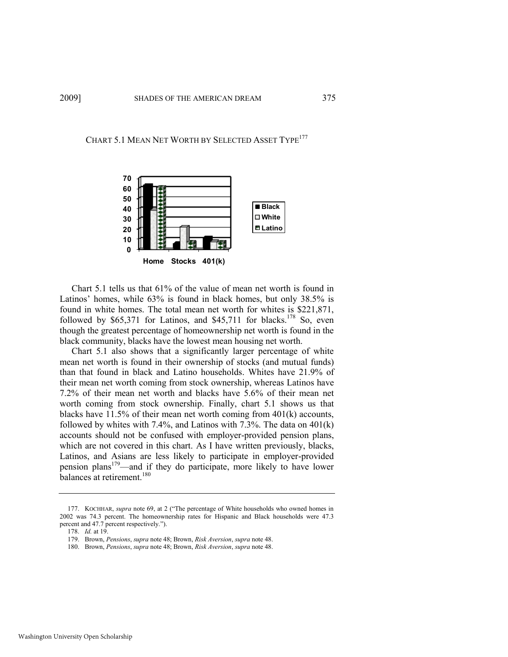# CHART 5.1 MEAN NET WORTH BY SELECTED ASSET TYPE<sup>177</sup>



Chart 5.1 tells us that 61% of the value of mean net worth is found in Latinos' homes, while 63% is found in black homes, but only 38.5% is found in white homes. The total mean net worth for whites is \$221,871, followed by  $$65,371$  for Latinos, and  $$45,711$  for blacks.<sup>178</sup> So, even though the greatest percentage of homeownership net worth is found in the black community, blacks have the lowest mean housing net worth.

Chart 5.1 also shows that a significantly larger percentage of white mean net worth is found in their ownership of stocks (and mutual funds) than that found in black and Latino households. Whites have 21.9% of their mean net worth coming from stock ownership, whereas Latinos have 7.2% of their mean net worth and blacks have 5.6% of their mean net worth coming from stock ownership. Finally, chart 5.1 shows us that blacks have 11.5% of their mean net worth coming from 401(k) accounts, followed by whites with  $7.4\%$ , and Latinos with  $7.3\%$ . The data on  $401(k)$ accounts should not be confused with employer-provided pension plans, which are not covered in this chart. As I have written previously, blacks, Latinos, and Asians are less likely to participate in employer-provided pension plans<sup>179</sup>—and if they do participate, more likely to have lower balances at retirement.<sup>180</sup>

<sup>177.</sup> KOCHHAR, *supra* note [69,](#page-20-0) at 2 ("The percentage of White households who owned homes in 2002 was 74.3 percent. The homeownership rates for Hispanic and Black households were 47.3 percent and 47.7 percent respectively.").

<sup>178.</sup> *Id.* at 19.

<sup>179.</sup> Brown, *Pensions*, *supra* not[e 48;](#page-13-0) Brown, *Risk Aversion*, *supra* not[e 48.](#page-13-0)

<sup>180.</sup> Brown, *Pensions*, *supra* not[e 48;](#page-13-0) Brown, *Risk Aversion*, *supra* not[e 48.](#page-13-0)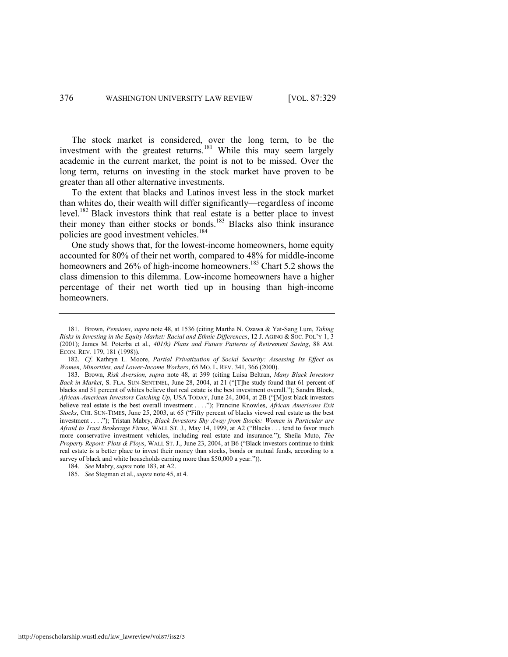The stock market is considered, over the long term, to be the investment with the greatest returns.<sup>181</sup> While this may seem largely academic in the current market, the point is not to be missed. Over the long term, returns on investing in the stock market have proven to be greater than all other alternative investments.

To the extent that blacks and Latinos invest less in the stock market than whites do, their wealth will differ significantly—regardless of income level.<sup>182</sup> Black investors think that real estate is a better place to invest their money than either stocks or bonds.<sup>183</sup> Blacks also think insurance policies are good investment vehicles.<sup>184</sup>

<span id="page-48-0"></span>One study shows that, for the lowest-income homeowners, home equity accounted for 80% of their net worth, compared to 48% for middle-income homeowners and  $26\%$  of high-income homeowners.<sup>185</sup> Chart 5.2 shows the class dimension to this dilemma. Low-income homeowners have a higher percentage of their net worth tied up in housing than high-income homeowners.

<sup>181.</sup> Brown, *Pensions*, *supra* note [48,](#page-13-0) at 1536 (citing Martha N. Ozawa & Yat-Sang Lum, *Taking Risks in Investing in the Equity Market: Racial and Ethnic Differences*, 12 J. AGING & SOC. POL'Y 1, 3 (2001); James M. Poterba et al., *401(k) Plans and Future Patterns of Retirement Saving*, 88 AM. ECON. REV. 179, 181 (1998)).

<sup>182.</sup> *Cf*. Kathryn L. Moore, *Partial Privatization of Social Security: Assessing Its Effect on Women, Minorities, and Lower-Income Workers*, 65 MO. L. REV. 341, 366 (2000).

<sup>183.</sup> Brown, *Risk Aversion*, *supra* note [48,](#page-13-0) at 399 (citing Luisa Beltran, *Many Black Investors Back in Market*, S. FLA. SUN-SENTINEL, June 28, 2004, at 21 ("[T]he study found that 61 percent of blacks and 51 percent of whites believe that real estate is the best investment overall."); Sandra Block, *African-American Investors Catching Up*, USA TODAY, June 24, 2004, at 2B ("[M]ost black investors believe real estate is the best overall investment . . . .<sup>"</sup>); Francine Knowles, *African Americans Exit Stocks*, CHI. SUN-TIMES, June 25, 2003, at 65 ("Fifty percent of blacks viewed real estate as the best investment . . . ."); Tristan Mabry, *Black Investors Shy Away from Stocks: Women in Particular are* Afraid to Trust Brokerage Firms, WALL ST. J., May 14, 1999, at A2 ("Blacks . . . tend to favor much more conservative investment vehicles, including real estate and insurance."); Sheila Muto, *The Property Report: Plots & Ploys, WALL ST. J., June 23, 2004, at B6 ("Black investors continue to think* real estate is a better place to invest their money than stocks, bonds or mutual funds, according to a survey of black and white households earning more than \$50,000 a year.")).

<sup>184.</sup> *See* Mabry, *supra* not[e 183,](#page-48-0) at A2.

<sup>185.</sup> *See* Stegman et al., *supra* not[e 45,](#page-12-0) at 4.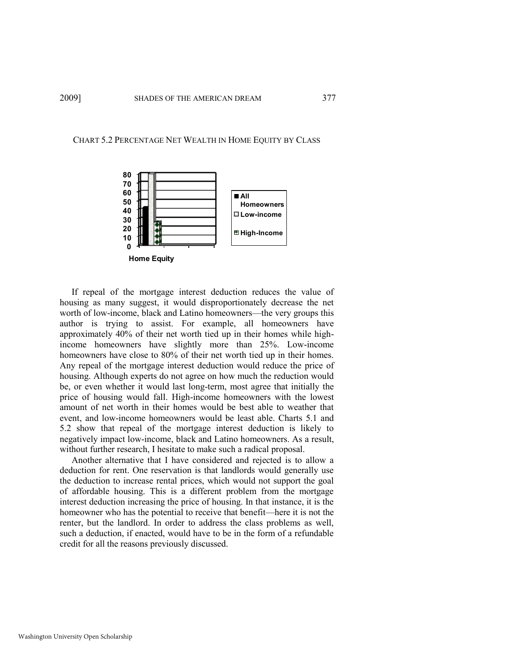#### CHART 5.2 PERCENTAGE NET WEALTH IN HOME EQUITY BY CLASS



If repeal of the mortgage interest deduction reduces the value of housing as many suggest, it would disproportionately decrease the net worth of low-income, black and Latino homeowners—the very groups this author is trying to assist. For example, all homeowners have approximately 40% of their net worth tied up in their homes while highincome homeowners have slightly more than 25%. Low-income homeowners have close to 80% of their net worth tied up in their homes. Any repeal of the mortgage interest deduction would reduce the price of housing. Although experts do not agree on how much the reduction would be, or even whether it would last long-term, most agree that initially the price of housing would fall. High-income homeowners with the lowest amount of net worth in their homes would be best able to weather that event, and low-income homeowners would be least able. Charts 5.1 and 5.2 show that repeal of the mortgage interest deduction is likely to negatively impact low-income, black and Latino homeowners. As a result, without further research, I hesitate to make such a radical proposal.

Another alternative that I have considered and rejected is to allow a deduction for rent. One reservation is that landlords would generally use the deduction to increase rental prices, which would not support the goal of affordable housing. This is a different problem from the mortgage interest deduction increasing the price of housing. In that instance, it is the homeowner who has the potential to receive that benefit—here it is not the renter, but the landlord. In order to address the class problems as well, such a deduction, if enacted, would have to be in the form of a refundable credit for all the reasons previously discussed.